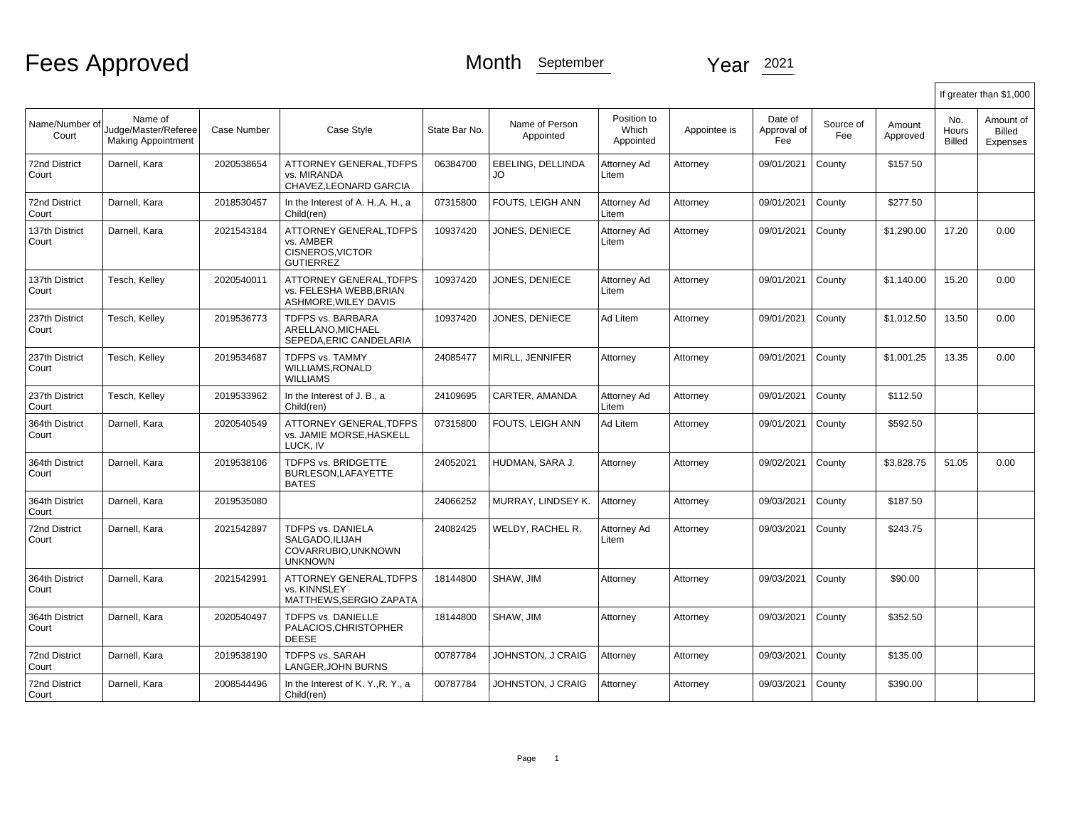|                               |                                                              |             |                                                                                  |               |                             |                                   |              |                               |                  |                    |                               | If greater than \$1,000                |
|-------------------------------|--------------------------------------------------------------|-------------|----------------------------------------------------------------------------------|---------------|-----------------------------|-----------------------------------|--------------|-------------------------------|------------------|--------------------|-------------------------------|----------------------------------------|
| Name/Number of<br>Court       | Name of<br>Judge/Master/Referee<br><b>Making Appointment</b> | Case Number | Case Style                                                                       | State Bar No. | Name of Person<br>Appointed | Position to<br>Which<br>Appointed | Appointee is | Date of<br>Approval of<br>Fee | Source of<br>Fee | Amount<br>Approved | No.<br>Hours<br><b>Billed</b> | Amount of<br><b>Billed</b><br>Expenses |
| <b>72nd District</b><br>Court | Darnell, Kara                                                | 2020538654  | <b>ATTORNEY GENERAL.TDFPS</b><br>vs. MIRANDA<br>CHAVEZ, LEONARD GARCIA           | 06384700      | EBELING. DELLINDA<br>JO.    | Attorney Ad<br>Litem              | Attorney     | 09/01/2021                    | County           | \$157.50           |                               |                                        |
| 72nd District<br>Court        | Darnell, Kara                                                | 2018530457  | In the Interest of A. H., A. H., a<br>Child(ren)                                 | 07315800      | FOUTS, LEIGH ANN            | Attorney Ad<br>Litem              | Attorney     | 09/01/2021                    | County           | \$277.50           |                               |                                        |
| 137th District<br>Court       | Darnell, Kara                                                | 2021543184  | ATTORNEY GENERAL, TDFPS<br>vs. AMBER<br>CISNEROS, VICTOR<br><b>GUTIERREZ</b>     | 10937420      | JONES, DENIECE              | Attorney Ad<br>Litem              | Attorney     | 09/01/2021                    | County           | \$1,290.00         | 17.20                         | 0.00                                   |
| 137th District<br>Court       | Tesch, Kelley                                                | 2020540011  | <b>ATTORNEY GENERAL.TDFPS</b><br>vs. FELESHA WEBB, BRIAN<br>ASHMORE, WILEY DAVIS | 10937420      | JONES, DENIECE              | Attorney Ad<br>Litem              | Attorney     | 09/01/2021                    | County           | \$1.140.00         | 15.20                         | 0.00                                   |
| 237th District<br>Court       | Tesch, Kelley                                                | 2019536773  | TDFPS vs. BARBARA<br>ARELLANO.MICHAEL<br>SEPEDA, ERIC CANDELARIA                 | 10937420      | JONES, DENIECE              | Ad Litem                          | Attorney     | 09/01/2021                    | County           | \$1,012.50         | 13.50                         | 0.00                                   |
| 237th District<br>Court       | Tesch, Kelley                                                | 2019534687  | TDFPS vs. TAMMY<br>WILLIAMS, RONALD<br><b>WILLIAMS</b>                           | 24085477      | MIRLL, JENNIFER             | Attorney                          | Attorney     | 09/01/2021                    | County           | \$1,001.25         | 13.35                         | 0.00                                   |
| 237th District<br>Court       | Tesch, Kelley                                                | 2019533962  | In the Interest of J. B., a<br>Child(ren)                                        | 24109695      | CARTER, AMANDA              | Attorney Ad<br>Litem              | Attorney     | 09/01/2021                    | County           | \$112.50           |                               |                                        |
| 364th District<br>Court       | Darnell, Kara                                                | 2020540549  | <b>ATTORNEY GENERAL.TDFPS</b><br>vs. JAMIE MORSE, HASKELL<br>LUCK, IV            | 07315800      | FOUTS, LEIGH ANN            | Ad Litem                          | Attorney     | 09/01/2021                    | County           | \$592.50           |                               |                                        |
| 364th District<br>Court       | Darnell, Kara                                                | 2019538106  | <b>TDFPS vs. BRIDGETTE</b><br>BURLESON, LAFAYETTE<br><b>BATES</b>                | 24052021      | HUDMAN, SARA J.             | Attorney                          | Attorney     | 09/02/2021                    | County           | \$3,828.75         | 51.05                         | 0.00                                   |
| 364th District<br>Court       | Darnell, Kara                                                | 2019535080  |                                                                                  | 24066252      | MURRAY, LINDSEY K.          | Attorney                          | Attorney     | 09/03/2021                    | County           | \$187.50           |                               |                                        |
| <b>72nd District</b><br>Court | Darnell, Kara                                                | 2021542897  | TDFPS vs. DANIELA<br>SALGADO, ILIJAH<br>COVARRUBIO.UNKNOWN<br><b>UNKNOWN</b>     | 24082425      | WELDY, RACHEL R.            | Attorney Ad<br>Litem              | Attorney     | 09/03/2021                    | County           | \$243.75           |                               |                                        |
| 364th District<br>Court       | Darnell, Kara                                                | 2021542991  | ATTORNEY GENERAL.TDFPS<br>vs. KINNSLEY<br>MATTHEWS.SERGIO ZAPATA                 | 18144800      | SHAW, JIM                   | Attorney                          | Attorney     | 09/03/2021                    | County           | \$90.00            |                               |                                        |
| 364th District<br>Court       | Darnell, Kara                                                | 2020540497  | TDFPS vs. DANIELLE<br>PALACIOS, CHRISTOPHER<br><b>DEESE</b>                      | 18144800      | SHAW, JIM                   | Attorney                          | Attorney     | 09/03/2021                    | County           | \$352.50           |                               |                                        |
| 72nd District<br>Court        | Darnell, Kara                                                | 2019538190  | <b>TDFPS vs. SARAH</b><br>LANGER.JOHN BURNS                                      | 00787784      | JOHNSTON, J CRAIG           | Attorney                          | Attorney     | 09/03/2021                    | County           | \$135.00           |                               |                                        |
| 72nd District<br>Court        | Darnell, Kara                                                | 2008544496  | In the Interest of K. Y., R. Y., a<br>Child(ren)                                 | 00787784      | JOHNSTON, J CRAIG           | Attorney                          | Attorney     | 09/03/2021                    | County           | \$390.00           |                               |                                        |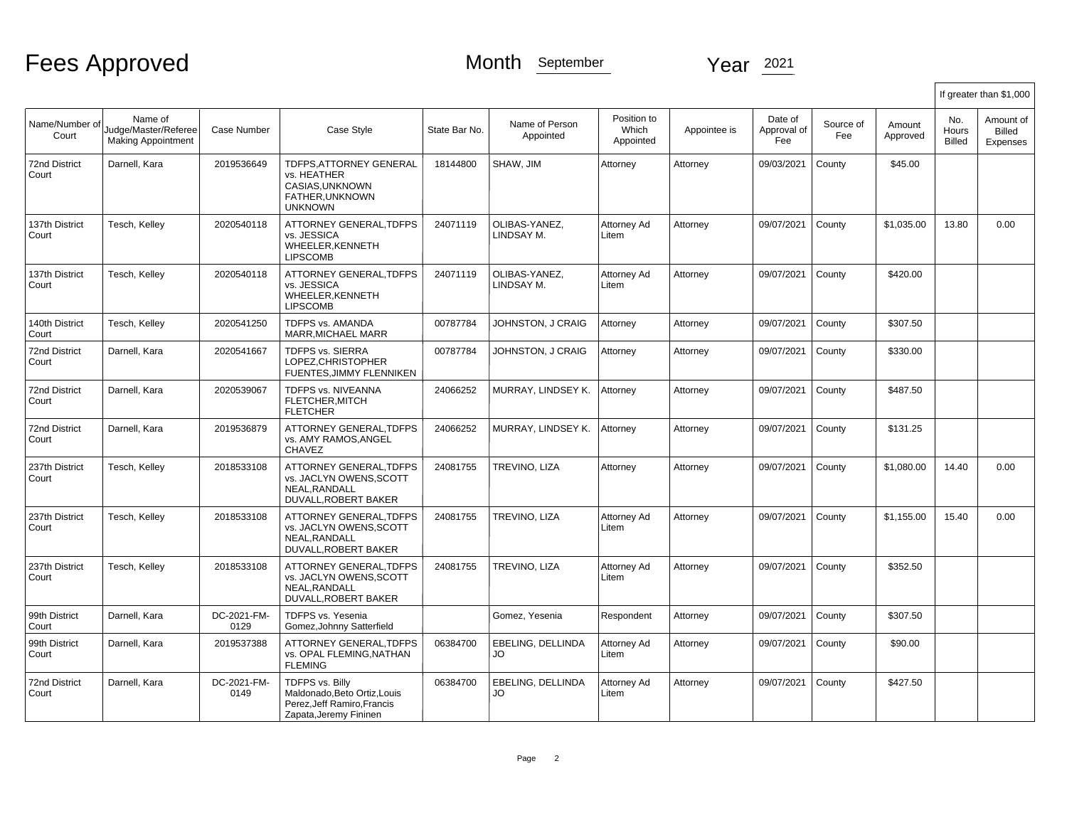|                               |                                                              |                     |                                                                                                          |               |                                |                                   |              |                               |                  |                    |                               | If greater than \$1,000                |
|-------------------------------|--------------------------------------------------------------|---------------------|----------------------------------------------------------------------------------------------------------|---------------|--------------------------------|-----------------------------------|--------------|-------------------------------|------------------|--------------------|-------------------------------|----------------------------------------|
| Name/Number of<br>Court       | Name of<br>Judge/Master/Referee<br><b>Making Appointment</b> | Case Number         | Case Style                                                                                               | State Bar No. | Name of Person<br>Appointed    | Position to<br>Which<br>Appointed | Appointee is | Date of<br>Approval of<br>Fee | Source of<br>Fee | Amount<br>Approved | No.<br>Hours<br><b>Billed</b> | Amount of<br><b>Billed</b><br>Expenses |
| <b>72nd District</b><br>Court | Darnell, Kara                                                | 2019536649          | TDFPS, ATTORNEY GENERAL<br>vs. HEATHER<br>CASIAS, UNKNOWN<br>FATHER, UNKNOWN<br><b>UNKNOWN</b>           | 18144800      | SHAW, JIM                      | Attorney                          | Attorney     | 09/03/2021                    | County           | \$45.00            |                               |                                        |
| 137th District<br>Court       | Tesch, Kelley                                                | 2020540118          | ATTORNEY GENERAL.TDFPS<br>vs. JESSICA<br>WHEELER, KENNETH<br><b>LIPSCOMB</b>                             | 24071119      | OLIBAS-YANEZ.<br>LINDSAY M.    | Attorney Ad<br>Litem              | Attorney     | 09/07/2021                    | County           | \$1.035.00         | 13.80                         | 0.00                                   |
| 137th District<br>Court       | Tesch, Kelley                                                | 2020540118          | <b>ATTORNEY GENERAL.TDFPS</b><br>vs. JESSICA<br>WHEELER.KENNETH<br><b>LIPSCOMB</b>                       | 24071119      | OLIBAS-YANEZ.<br>LINDSAY M.    | Attorney Ad<br>Litem              | Attorney     | 09/07/2021                    | County           | \$420.00           |                               |                                        |
| 140th District<br>Court       | Tesch, Kelley                                                | 2020541250          | <b>TDFPS vs. AMANDA</b><br>MARR, MICHAEL MARR                                                            | 00787784      | JOHNSTON, J CRAIG              | Attorney                          | Attorney     | 09/07/2021                    | County           | \$307.50           |                               |                                        |
| <b>72nd District</b><br>Court | Darnell, Kara                                                | 2020541667          | <b>TDFPS vs. SIERRA</b><br>LOPEZ, CHRISTOPHER<br>FUENTES, JIMMY FLENNIKEN                                | 00787784      | JOHNSTON, J CRAIG              | Attorney                          | Attorney     | 09/07/2021                    | County           | \$330.00           |                               |                                        |
| <b>72nd District</b><br>Court | Darnell, Kara                                                | 2020539067          | TDFPS vs. NIVEANNA<br>FLETCHER, MITCH<br><b>FLETCHER</b>                                                 | 24066252      | MURRAY, LINDSEY K.             | Attorney                          | Attorney     | 09/07/2021                    | County           | \$487.50           |                               |                                        |
| <b>72nd District</b><br>Court | Darnell, Kara                                                | 2019536879          | ATTORNEY GENERAL.TDFPS<br>vs. AMY RAMOS.ANGEL<br><b>CHAVEZ</b>                                           | 24066252      | MURRAY, LINDSEY K.             | Attorney                          | Attorney     | 09/07/2021                    | County           | \$131.25           |                               |                                        |
| 237th District<br>Court       | Tesch, Kelley                                                | 2018533108          | <b>ATTORNEY GENERAL.TDFPS</b><br>vs. JACLYN OWENS.SCOTT<br>NEAL.RANDALL<br>DUVALL, ROBERT BAKER          | 24081755      | TREVINO, LIZA                  | Attorney                          | Attorney     | 09/07/2021                    | County           | \$1,080.00         | 14.40                         | 0.00                                   |
| 237th District<br>Court       | Tesch, Kelley                                                | 2018533108          | ATTORNEY GENERAL, TDFPS<br>vs. JACLYN OWENS, SCOTT<br>NEAL.RANDALL<br>DUVALL, ROBERT BAKER               | 24081755      | TREVINO, LIZA                  | Attorney Ad<br>Litem              | Attorney     | 09/07/2021                    | County           | \$1,155.00         | 15.40                         | 0.00                                   |
| 237th District<br>Court       | Tesch, Kelley                                                | 2018533108          | ATTORNEY GENERAL, TDFPS<br>vs. JACLYN OWENS, SCOTT<br>NEAL.RANDALL<br>DUVALL, ROBERT BAKER               | 24081755      | TREVINO, LIZA                  | Attorney Ad<br>Litem              | Attorney     | 09/07/2021                    | County           | \$352.50           |                               |                                        |
| 99th District<br>Court        | Darnell, Kara                                                | DC-2021-FM-<br>0129 | TDFPS vs. Yesenia<br>Gomez, Johnny Satterfield                                                           |               | Gomez, Yesenia                 | Respondent                        | Attorney     | 09/07/2021                    | County           | \$307.50           |                               |                                        |
| 99th District<br>Court        | Darnell, Kara                                                | 2019537388          | <b>ATTORNEY GENERAL.TDFPS</b><br>vs. OPAL FLEMING NATHAN<br><b>FLEMING</b>                               | 06384700      | <b>EBELING. DELLINDA</b><br>JO | Attorney Ad<br>Litem              | Attorney     | 09/07/2021                    | County           | \$90.00            |                               |                                        |
| <b>72nd District</b><br>Court | Darnell, Kara                                                | DC-2021-FM-<br>0149 | TDFPS vs. Billy<br>Maldonado, Beto Ortiz, Louis<br>Perez, Jeff Ramiro, Francis<br>Zapata, Jeremy Fininen | 06384700      | EBELING, DELLINDA<br>JO        | Attorney Ad<br>Litem              | Attorney     | 09/07/2021                    | County           | \$427.50           |                               |                                        |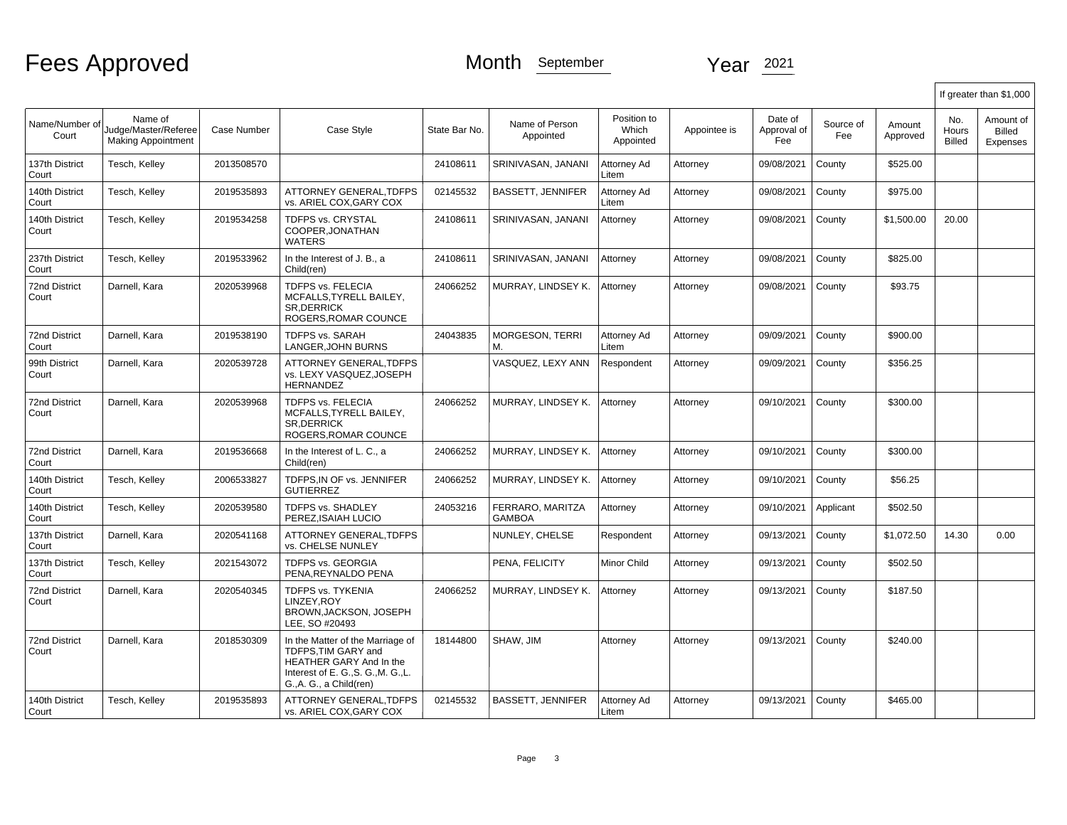|                               |                                                              |             |                                                                                                                                                      |               |                                   |                                   |              |                               |                  |                    |                        | If greater than \$1,000                |
|-------------------------------|--------------------------------------------------------------|-------------|------------------------------------------------------------------------------------------------------------------------------------------------------|---------------|-----------------------------------|-----------------------------------|--------------|-------------------------------|------------------|--------------------|------------------------|----------------------------------------|
| Name/Number of<br>Court       | Name of<br>Judge/Master/Referee<br><b>Making Appointment</b> | Case Number | Case Style                                                                                                                                           | State Bar No. | Name of Person<br>Appointed       | Position to<br>Which<br>Appointed | Appointee is | Date of<br>Approval of<br>Fee | Source of<br>Fee | Amount<br>Approved | No.<br>Hours<br>Billed | Amount of<br><b>Billed</b><br>Expenses |
| 137th District<br>Court       | Tesch, Kelley                                                | 2013508570  |                                                                                                                                                      | 24108611      | SRINIVASAN, JANANI                | Attorney Ad<br>Litem              | Attorney     | 09/08/2021                    | County           | \$525.00           |                        |                                        |
| 140th District<br>Court       | Tesch, Kelley                                                | 2019535893  | ATTORNEY GENERAL, TDFPS<br>vs. ARIEL COX, GARY COX                                                                                                   | 02145532      | <b>BASSETT, JENNIFER</b>          | Attorney Ad<br>Litem              | Attorney     | 09/08/2021                    | County           | \$975.00           |                        |                                        |
| 140th District<br>Court       | Tesch, Kelley                                                | 2019534258  | <b>TDFPS vs. CRYSTAL</b><br>COOPER, JONATHAN<br><b>WATERS</b>                                                                                        | 24108611      | SRINIVASAN, JANANI                | Attorney                          | Attorney     | 09/08/2021                    | County           | \$1,500.00         | 20.00                  |                                        |
| 237th District<br>Court       | Tesch, Kelley                                                | 2019533962  | In the Interest of J. B., a<br>Child(ren)                                                                                                            | 24108611      | SRINIVASAN, JANANI                | Attorney                          | Attorney     | 09/08/2021                    | County           | \$825.00           |                        |                                        |
| 72nd District<br>Court        | Darnell, Kara                                                | 2020539968  | TDFPS vs. FELECIA<br>MCFALLS, TYRELL BAILEY,<br><b>SR.DERRICK</b><br>ROGERS, ROMAR COUNCE                                                            | 24066252      | MURRAY, LINDSEY K.                | Attorney                          | Attorney     | 09/08/2021                    | County           | \$93.75            |                        |                                        |
| <b>72nd District</b><br>Court | Darnell, Kara                                                | 2019538190  | <b>TDFPS vs. SARAH</b><br>LANGER, JOHN BURNS                                                                                                         | 24043835      | <b>MORGESON, TERRI</b><br>М.      | Attorney Ad<br>Litem              | Attorney     | 09/09/2021                    | County           | \$900.00           |                        |                                        |
| 99th District<br>Court        | Darnell, Kara                                                | 2020539728  | ATTORNEY GENERAL.TDFPS<br>vs. LEXY VASQUEZ.JOSEPH<br><b>HERNANDEZ</b>                                                                                |               | VASQUEZ, LEXY ANN                 | Respondent                        | Attorney     | 09/09/2021                    | County           | \$356.25           |                        |                                        |
| <b>72nd District</b><br>Court | Darnell, Kara                                                | 2020539968  | <b>TDFPS vs. FELECIA</b><br>MCFALLS, TYRELL BAILEY,<br><b>SR.DERRICK</b><br>ROGERS, ROMAR COUNCE                                                     | 24066252      | MURRAY, LINDSEY K.                | Attorney                          | Attorney     | 09/10/2021                    | County           | \$300.00           |                        |                                        |
| 72nd District<br>Court        | Darnell, Kara                                                | 2019536668  | In the Interest of L. C., a<br>Child(ren)                                                                                                            | 24066252      | MURRAY, LINDSEY K.                | Attorney                          | Attorney     | 09/10/2021                    | County           | \$300.00           |                        |                                        |
| 140th District<br>Court       | Tesch, Kelley                                                | 2006533827  | TDFPS, IN OF vs. JENNIFER<br><b>GUTIERREZ</b>                                                                                                        | 24066252      | MURRAY, LINDSEY K.                | Attorney                          | Attorney     | 09/10/2021                    | County           | \$56.25            |                        |                                        |
| 140th District<br>Court       | Tesch, Kelley                                                | 2020539580  | <b>TDFPS vs. SHADLEY</b><br>PEREZ.ISAIAH LUCIO                                                                                                       | 24053216      | FERRARO, MARITZA<br><b>GAMBOA</b> | Attorney                          | Attorney     | 09/10/2021                    | Applicant        | \$502.50           |                        |                                        |
| 137th District<br>Court       | Darnell, Kara                                                | 2020541168  | ATTORNEY GENERAL, TDFPS<br>vs. CHELSE NUNLEY                                                                                                         |               | NUNLEY, CHELSE                    | Respondent                        | Attorney     | 09/13/2021                    | County           | \$1,072.50         | 14.30                  | 0.00                                   |
| 137th District<br>Court       | Tesch, Kelley                                                | 2021543072  | <b>TDFPS vs. GEORGIA</b><br>PENA.REYNALDO PENA                                                                                                       |               | PENA. FELICITY                    | Minor Child                       | Attorney     | 09/13/2021                    | County           | \$502.50           |                        |                                        |
| <b>72nd District</b><br>Court | Darnell, Kara                                                | 2020540345  | <b>TDFPS vs. TYKENIA</b><br>LINZEY.ROY<br>BROWN, JACKSON, JOSEPH<br>LEE, SO #20493                                                                   | 24066252      | MURRAY, LINDSEY K.                | Attorney                          | Attorney     | 09/13/2021                    | County           | \$187.50           |                        |                                        |
| <b>72nd District</b><br>Court | Darnell, Kara                                                | 2018530309  | In the Matter of the Marriage of<br>TDFPS, TIM GARY and<br>HEATHER GARY And In the<br>Interest of E. G., S. G., M. G., L.<br>G., A. G., a Child(ren) | 18144800      | SHAW, JIM                         | Attorney                          | Attorney     | 09/13/2021                    | County           | \$240.00           |                        |                                        |
| 140th District<br>Court       | Tesch, Kelley                                                | 2019535893  | ATTORNEY GENERAL.TDFPS<br>vs. ARIEL COX, GARY COX                                                                                                    | 02145532      | <b>BASSETT, JENNIFER</b>          | Attorney Ad<br>Litem              | Attorney     | 09/13/2021                    | County           | \$465.00           |                        |                                        |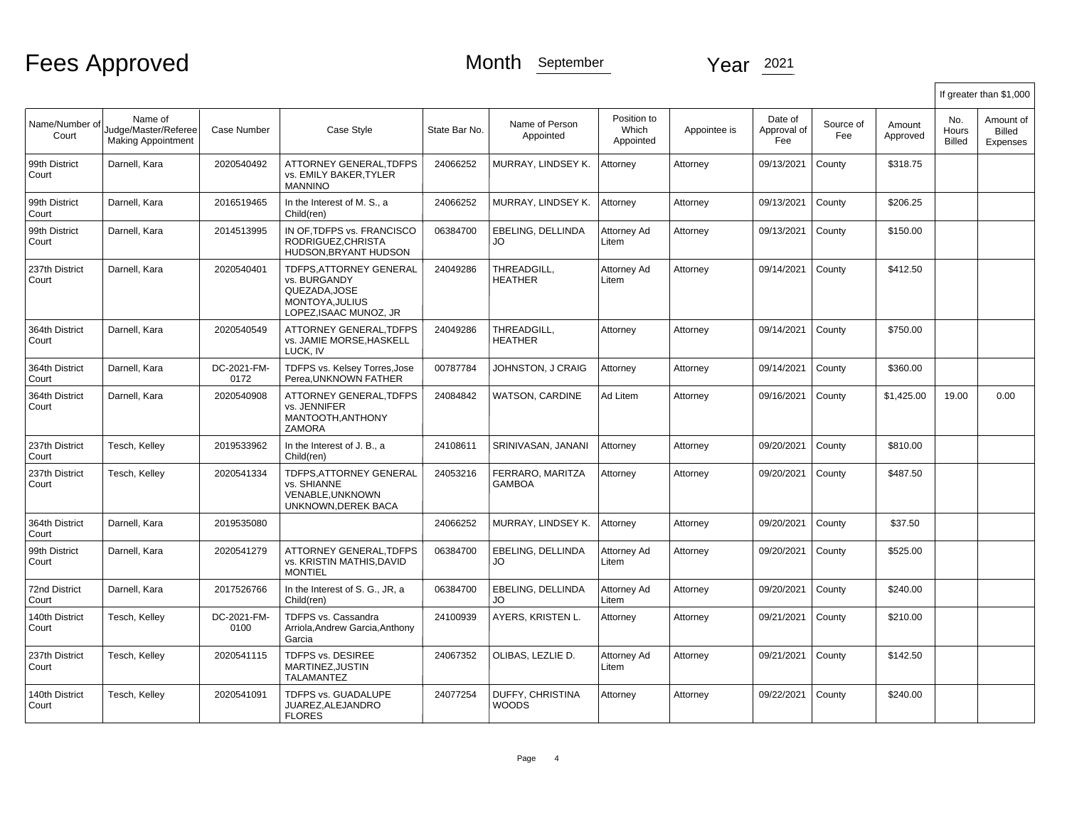|                               |                                                              |                     |                                                                                                           |               |                                   |                                   |              |                               |                  |                    |                               | If greater than \$1,000         |
|-------------------------------|--------------------------------------------------------------|---------------------|-----------------------------------------------------------------------------------------------------------|---------------|-----------------------------------|-----------------------------------|--------------|-------------------------------|------------------|--------------------|-------------------------------|---------------------------------|
| Name/Number of<br>Court       | Name of<br>Judge/Master/Referee<br><b>Making Appointment</b> | <b>Case Number</b>  | Case Style                                                                                                | State Bar No. | Name of Person<br>Appointed       | Position to<br>Which<br>Appointed | Appointee is | Date of<br>Approval of<br>Fee | Source of<br>Fee | Amount<br>Approved | No.<br>Hours<br><b>Billed</b> | Amount of<br>Billed<br>Expenses |
| 99th District<br>Court        | Darnell, Kara                                                | 2020540492          | ATTORNEY GENERAL, TDFPS<br>vs. EMILY BAKER.TYLER<br><b>MANNINO</b>                                        | 24066252      | MURRAY, LINDSEY K.                | Attorney                          | Attorney     | 09/13/2021                    | County           | \$318.75           |                               |                                 |
| 99th District<br>Court        | Darnell, Kara                                                | 2016519465          | In the Interest of M. S., a<br>Child(ren)                                                                 | 24066252      | MURRAY, LINDSEY K.                | Attorney                          | Attorney     | 09/13/2021                    | County           | \$206.25           |                               |                                 |
| 99th District<br>Court        | Darnell, Kara                                                | 2014513995          | IN OF TDFPS vs. FRANCISCO<br>RODRIGUEZ.CHRISTA<br>HUDSON, BRYANT HUDSON                                   | 06384700      | EBELING, DELLINDA<br>JO.          | Attorney Ad<br>Litem              | Attorney     | 09/13/2021                    | County           | \$150.00           |                               |                                 |
| 237th District<br>Court       | Darnell, Kara                                                | 2020540401          | <b>TDFPS.ATTORNEY GENERAL</b><br>vs. BURGANDY<br>QUEZADA.JOSE<br>MONTOYA, JULIUS<br>LOPEZ.ISAAC MUNOZ. JR | 24049286      | THREADGILL,<br><b>HEATHER</b>     | Attorney Ad<br>Litem              | Attorney     | 09/14/2021                    | County           | \$412.50           |                               |                                 |
| 364th District<br>Court       | Darnell, Kara                                                | 2020540549          | <b>ATTORNEY GENERAL.TDFPS</b><br>vs. JAMIE MORSE, HASKELL<br>LUCK. IV                                     | 24049286      | THREADGILL.<br><b>HEATHER</b>     | Attorney                          | Attorney     | 09/14/2021                    | County           | \$750.00           |                               |                                 |
| 364th District<br>Court       | Darnell, Kara                                                | DC-2021-FM-<br>0172 | TDFPS vs. Kelsey Torres, Jose<br>Perea.UNKNOWN FATHER                                                     | 00787784      | JOHNSTON, J CRAIG                 | Attorney                          | Attorney     | 09/14/2021                    | County           | \$360.00           |                               |                                 |
| 364th District<br>Court       | Darnell, Kara                                                | 2020540908          | ATTORNEY GENERAL, TDFPS<br>vs. JENNIFER<br>MANTOOTH, ANTHONY<br><b>ZAMORA</b>                             | 24084842      | WATSON, CARDINE                   | Ad Litem                          | Attorney     | 09/16/2021                    | County           | \$1,425.00         | 19.00                         | 0.00                            |
| 237th District<br>Court       | Tesch, Kelley                                                | 2019533962          | In the Interest of J. B., a<br>Child(ren)                                                                 | 24108611      | SRINIVASAN, JANANI                | Attorney                          | Attorney     | 09/20/2021                    | County           | \$810.00           |                               |                                 |
| 237th District<br>Court       | Tesch, Kelley                                                | 2020541334          | <b>TDFPS.ATTORNEY GENERAL</b><br>vs. SHIANNE<br>VENABLE, UNKNOWN<br>UNKNOWN, DEREK BACA                   | 24053216      | FERRARO, MARITZA<br><b>GAMBOA</b> | Attorney                          | Attorney     | 09/20/2021                    | County           | \$487.50           |                               |                                 |
| 364th District<br>Court       | Darnell, Kara                                                | 2019535080          |                                                                                                           | 24066252      | MURRAY, LINDSEY K.                | Attorney                          | Attorney     | 09/20/2021                    | County           | \$37.50            |                               |                                 |
| 99th District<br>Court        | Darnell, Kara                                                | 2020541279          | ATTORNEY GENERAL, TDFPS<br>vs. KRISTIN MATHIS.DAVID<br><b>MONTIEL</b>                                     | 06384700      | EBELING, DELLINDA<br>JO           | Attorney Ad<br>Litem              | Attorney     | 09/20/2021                    | County           | \$525.00           |                               |                                 |
| <b>72nd District</b><br>Court | Darnell, Kara                                                | 2017526766          | In the Interest of S. G., JR, a<br>Child(ren)                                                             | 06384700      | EBELING, DELLINDA<br>JO.          | Attorney Ad<br>Litem              | Attorney     | 09/20/2021                    | County           | \$240.00           |                               |                                 |
| 140th District<br>Court       | Tesch, Kelley                                                | DC-2021-FM-<br>0100 | TDFPS vs. Cassandra<br>Arriola, Andrew Garcia, Anthony<br>Garcia                                          | 24100939      | AYERS, KRISTEN L.                 | Attorney                          | Attorney     | 09/21/2021                    | County           | \$210.00           |                               |                                 |
| 237th District<br>Court       | Tesch, Kelley                                                | 2020541115          | TDFPS vs. DESIREE<br>MARTINEZ.JUSTIN<br><b>TALAMANTEZ</b>                                                 | 24067352      | OLIBAS, LEZLIE D.                 | Attorney Ad<br>Litem              | Attorney     | 09/21/2021                    | County           | \$142.50           |                               |                                 |
| 140th District<br>Court       | Tesch, Kelley                                                | 2020541091          | <b>TDFPS vs. GUADALUPE</b><br>JUAREZ, ALEJANDRO<br><b>FLORES</b>                                          | 24077254      | DUFFY, CHRISTINA<br><b>WOODS</b>  | Attorney                          | Attorney     | 09/22/2021                    | County           | \$240.00           |                               |                                 |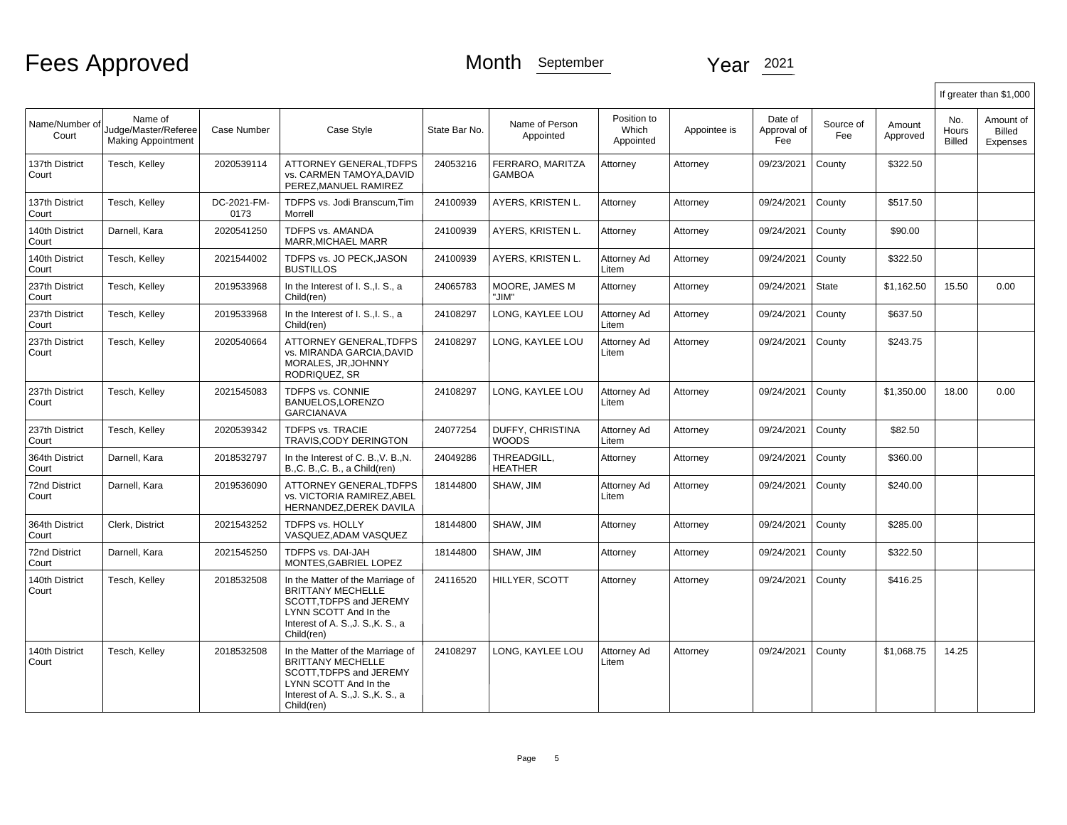|                               |                                                              |                     |                                                                                                                                                                     |               |                                  |                                   |              |                               |                  |                    |                        | If greater than \$1,000         |
|-------------------------------|--------------------------------------------------------------|---------------------|---------------------------------------------------------------------------------------------------------------------------------------------------------------------|---------------|----------------------------------|-----------------------------------|--------------|-------------------------------|------------------|--------------------|------------------------|---------------------------------|
| Name/Number of<br>Court       | Name of<br>Judge/Master/Referee<br><b>Making Appointment</b> | Case Number         | Case Style                                                                                                                                                          | State Bar No. | Name of Person<br>Appointed      | Position to<br>Which<br>Appointed | Appointee is | Date of<br>Approval of<br>Fee | Source of<br>Fee | Amount<br>Approved | No.<br>Hours<br>Billed | Amount of<br>Billed<br>Expenses |
| 137th District<br>Court       | Tesch, Kelley                                                | 2020539114          | ATTORNEY GENERAL.TDFPS<br>vs. CARMEN TAMOYA.DAVID<br>PEREZ, MANUEL RAMIREZ                                                                                          | 24053216      | FERRARO. MARITZA<br>GAMBOA       | Attornev                          | Attorney     | 09/23/2021                    | County           | \$322.50           |                        |                                 |
| 137th District<br>Court       | Tesch, Kelley                                                | DC-2021-FM-<br>0173 | TDFPS vs. Jodi Branscum, Tim<br>Morrell                                                                                                                             | 24100939      | AYERS, KRISTEN L.                | Attorney                          | Attorney     | 09/24/2021                    | County           | \$517.50           |                        |                                 |
| 140th District<br>Court       | Darnell, Kara                                                | 2020541250          | TDFPS vs. AMANDA<br><b>MARR.MICHAEL MARR</b>                                                                                                                        | 24100939      | AYERS, KRISTEN L.                | Attorney                          | Attorney     | 09/24/2021                    | County           | \$90.00            |                        |                                 |
| 140th District<br>Court       | Tesch, Kelley                                                | 2021544002          | TDFPS vs. JO PECK, JASON<br><b>BUSTILLOS</b>                                                                                                                        | 24100939      | AYERS, KRISTEN L.                | Attorney Ad<br>Litem              | Attorney     | 09/24/2021                    | County           | \$322.50           |                        |                                 |
| 237th District<br>Court       | Tesch, Kelley                                                | 2019533968          | In the Interest of I. S., I. S., a<br>Child(ren)                                                                                                                    | 24065783      | MOORE, JAMES M<br>"JIM"          | Attorney                          | Attorney     | 09/24/2021                    | <b>State</b>     | \$1,162.50         | 15.50                  | 0.00                            |
| 237th District<br>Court       | Tesch, Kelley                                                | 2019533968          | In the Interest of I. S., I. S., a<br>Child(ren)                                                                                                                    | 24108297      | LONG, KAYLEE LOU                 | Attorney Ad<br>Litem              | Attorney     | 09/24/2021                    | County           | \$637.50           |                        |                                 |
| 237th District<br>Court       | Tesch, Kelley                                                | 2020540664          | <b>ATTORNEY GENERAL.TDFPS</b><br>vs. MIRANDA GARCIA, DAVID<br>MORALES, JR.JOHNNY<br>RODRIQUEZ, SR                                                                   | 24108297      | LONG. KAYLEE LOU                 | Attorney Ad<br>Litem              | Attorney     | 09/24/2021                    | County           | \$243.75           |                        |                                 |
| 237th District<br>Court       | Tesch, Kelley                                                | 2021545083          | <b>TDFPS vs. CONNIE</b><br>BANUELOS, LORENZO<br><b>GARCIANAVA</b>                                                                                                   | 24108297      | LONG. KAYLEE LOU                 | Attorney Ad<br>Litem              | Attorney     | 09/24/2021                    | County           | \$1,350.00         | 18.00                  | 0.00                            |
| 237th District<br>Court       | Tesch, Kelley                                                | 2020539342          | <b>TDFPS vs. TRACIE</b><br>TRAVIS, CODY DERINGTON                                                                                                                   | 24077254      | DUFFY, CHRISTINA<br><b>WOODS</b> | Attorney Ad<br>Litem              | Attorney     | 09/24/2021                    | County           | \$82.50            |                        |                                 |
| 364th District<br>Court       | Darnell, Kara                                                | 2018532797          | In the Interest of C. B., V. B., N.<br>B.,C. B.,C. B., a Child(ren)                                                                                                 | 24049286      | THREADGILL,<br>HEATHER           | Attorney                          | Attorney     | 09/24/2021                    | County           | \$360.00           |                        |                                 |
| <b>72nd District</b><br>Court | Darnell, Kara                                                | 2019536090          | ATTORNEY GENERAL, TDFPS<br>vs. VICTORIA RAMIREZ, ABEL<br>HERNANDEZ, DEREK DAVILA                                                                                    | 18144800      | SHAW, JIM                        | Attorney Ad<br>Litem              | Attorney     | 09/24/2021                    | County           | \$240.00           |                        |                                 |
| 364th District<br>Court       | Clerk, District                                              | 2021543252          | <b>TDFPS vs. HOLLY</b><br>VASQUEZ.ADAM VASQUEZ                                                                                                                      | 18144800      | SHAW, JIM                        | Attorney                          | Attorney     | 09/24/2021                    | County           | \$285.00           |                        |                                 |
| <b>72nd District</b><br>Court | Darnell, Kara                                                | 2021545250          | TDFPS vs. DAI-JAH<br>MONTES, GABRIEL LOPEZ                                                                                                                          | 18144800      | SHAW, JIM                        | Attorney                          | Attorney     | 09/24/2021                    | County           | \$322.50           |                        |                                 |
| 140th District<br>Court       | Tesch, Kelley                                                | 2018532508          | In the Matter of the Marriage of<br><b>BRITTANY MECHELLE</b><br>SCOTT.TDFPS and JEREMY<br>LYNN SCOTT And In the<br>Interest of A. S., J. S., K. S., a<br>Child(ren) | 24116520      | HILLYER, SCOTT                   | Attorney                          | Attorney     | 09/24/2021                    | County           | \$416.25           |                        |                                 |
| 140th District<br>Court       | Tesch, Kelley                                                | 2018532508          | In the Matter of the Marriage of<br><b>BRITTANY MECHELLE</b><br>SCOTT.TDFPS and JEREMY<br>LYNN SCOTT And In the<br>Interest of A. S., J. S., K. S., a<br>Child(ren) | 24108297      | LONG. KAYLEE LOU                 | Attorney Ad<br>Litem              | Attorney     | 09/24/2021                    | County           | \$1,068.75         | 14.25                  |                                 |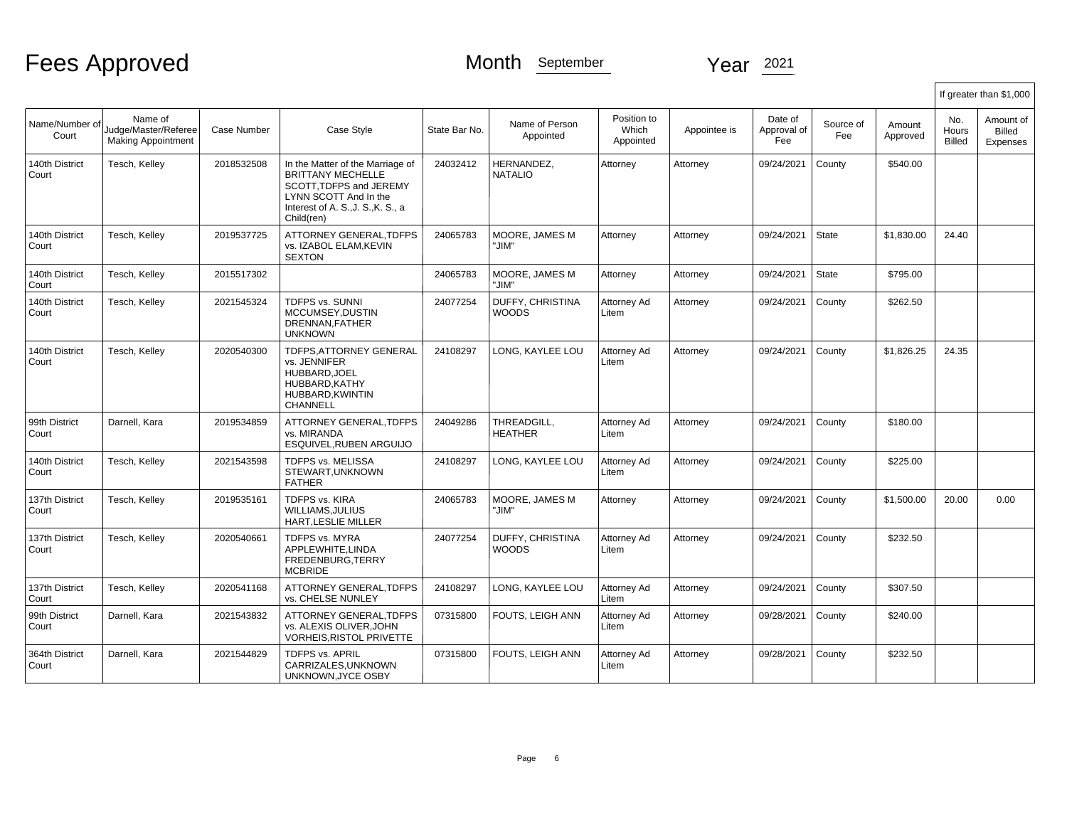|                         |                                                              |             |                                                                                                                                                                     |               |                                         |                                   |              |                               |                  |                    |                        | If greater than \$1,000                |
|-------------------------|--------------------------------------------------------------|-------------|---------------------------------------------------------------------------------------------------------------------------------------------------------------------|---------------|-----------------------------------------|-----------------------------------|--------------|-------------------------------|------------------|--------------------|------------------------|----------------------------------------|
| Name/Number of<br>Court | Name of<br>Judge/Master/Referee<br><b>Making Appointment</b> | Case Number | Case Style                                                                                                                                                          | State Bar No. | Name of Person<br>Appointed             | Position to<br>Which<br>Appointed | Appointee is | Date of<br>Approval of<br>Fee | Source of<br>Fee | Amount<br>Approved | No.<br>Hours<br>Billed | Amount of<br><b>Billed</b><br>Expenses |
| 140th District<br>Court | Tesch, Kelley                                                | 2018532508  | In the Matter of the Marriage of<br><b>BRITTANY MECHELLE</b><br>SCOTT.TDFPS and JEREMY<br>LYNN SCOTT And In the<br>Interest of A. S., J. S., K. S., a<br>Child(ren) | 24032412      | HERNANDEZ.<br><b>NATALIO</b>            | Attorney                          | Attorney     | 09/24/2021                    | County           | \$540.00           |                        |                                        |
| 140th District<br>Court | Tesch, Kelley                                                | 2019537725  | ATTORNEY GENERAL, TDFPS<br>vs. IZABOL ELAM, KEVIN<br><b>SEXTON</b>                                                                                                  | 24065783      | MOORE, JAMES M<br>"JIM"                 | Attorney                          | Attorney     | 09/24/2021                    | <b>State</b>     | \$1,830.00         | 24.40                  |                                        |
| 140th District<br>Court | Tesch, Kelley                                                | 2015517302  |                                                                                                                                                                     | 24065783      | MOORE, JAMES M<br>'JIM"                 | Attorney                          | Attorney     | 09/24/2021                    | <b>State</b>     | \$795.00           |                        |                                        |
| 140th District<br>Court | Tesch, Kelley                                                | 2021545324  | <b>TDFPS vs. SUNNI</b><br>MCCUMSEY.DUSTIN<br>DRENNAN, FATHER<br><b>UNKNOWN</b>                                                                                      | 24077254      | DUFFY, CHRISTINA<br><b>WOODS</b>        | Attorney Ad<br>Litem              | Attorney     | 09/24/2021                    | County           | \$262.50           |                        |                                        |
| 140th District<br>Court | Tesch, Kelley                                                | 2020540300  | TDFPS, ATTORNEY GENERAL<br>vs. JENNIFER<br>HUBBARD.JOEL<br>HUBBARD, KATHY<br>HUBBARD, KWINTIN<br>CHANNELL                                                           | 24108297      | LONG, KAYLEE LOU                        | Attorney Ad<br>Litem              | Attorney     | 09/24/2021                    | County           | \$1,826.25         | 24.35                  |                                        |
| 99th District<br>Court  | Darnell, Kara                                                | 2019534859  | ATTORNEY GENERAL, TDFPS<br>vs. MIRANDA<br>ESQUIVEL, RUBEN ARGUIJO                                                                                                   | 24049286      | THREADGILL,<br><b>HEATHER</b>           | Attorney Ad<br>Litem              | Attorney     | 09/24/2021                    | County           | \$180.00           |                        |                                        |
| 140th District<br>Court | Tesch, Kelley                                                | 2021543598  | <b>TDFPS vs. MELISSA</b><br>STEWART, UNKNOWN<br><b>FATHER</b>                                                                                                       | 24108297      | LONG, KAYLEE LOU                        | Attorney Ad<br>Litem              | Attorney     | 09/24/2021                    | County           | \$225.00           |                        |                                        |
| 137th District<br>Court | Tesch, Kelley                                                | 2019535161  | <b>TDFPS vs. KIRA</b><br><b>WILLIAMS.JULIUS</b><br>HART, LESLIE MILLER                                                                                              | 24065783      | MOORE, JAMES M<br>"JIM"                 | Attorney                          | Attorney     | 09/24/2021                    | County           | \$1,500.00         | 20.00                  | 0.00                                   |
| 137th District<br>Court | Tesch. Kellev                                                | 2020540661  | <b>TDFPS vs. MYRA</b><br>APPLEWHITE.LINDA<br>FREDENBURG, TERRY<br><b>MCBRIDE</b>                                                                                    | 24077254      | <b>DUFFY, CHRISTINA</b><br><b>WOODS</b> | Attorney Ad<br>Litem              | Attorney     | 09/24/2021                    | County           | \$232.50           |                        |                                        |
| 137th District<br>Court | Tesch, Kelley                                                | 2020541168  | <b>ATTORNEY GENERAL.TDFPS</b><br>vs. CHELSE NUNLEY                                                                                                                  | 24108297      | LONG, KAYLEE LOU                        | Attorney Ad<br>Litem              | Attorney     | 09/24/2021                    | County           | \$307.50           |                        |                                        |
| 99th District<br>Court  | Darnell, Kara                                                | 2021543832  | ATTORNEY GENERAL.TDFPS<br>vs. ALEXIS OLIVER, JOHN<br><b>VORHEIS, RISTOL PRIVETTE</b>                                                                                | 07315800      | <b>FOUTS. LEIGH ANN</b>                 | Attorney Ad<br>Litem              | Attorney     | 09/28/2021                    | County           | \$240.00           |                        |                                        |
| 364th District<br>Court | Darnell, Kara                                                | 2021544829  | <b>TDFPS vs. APRIL</b><br>CARRIZALES, UNKNOWN<br>UNKNOWN, JYCE OSBY                                                                                                 | 07315800      | <b>FOUTS. LEIGH ANN</b>                 | Attorney Ad<br>Litem              | Attorney     | 09/28/2021                    | County           | \$232.50           |                        |                                        |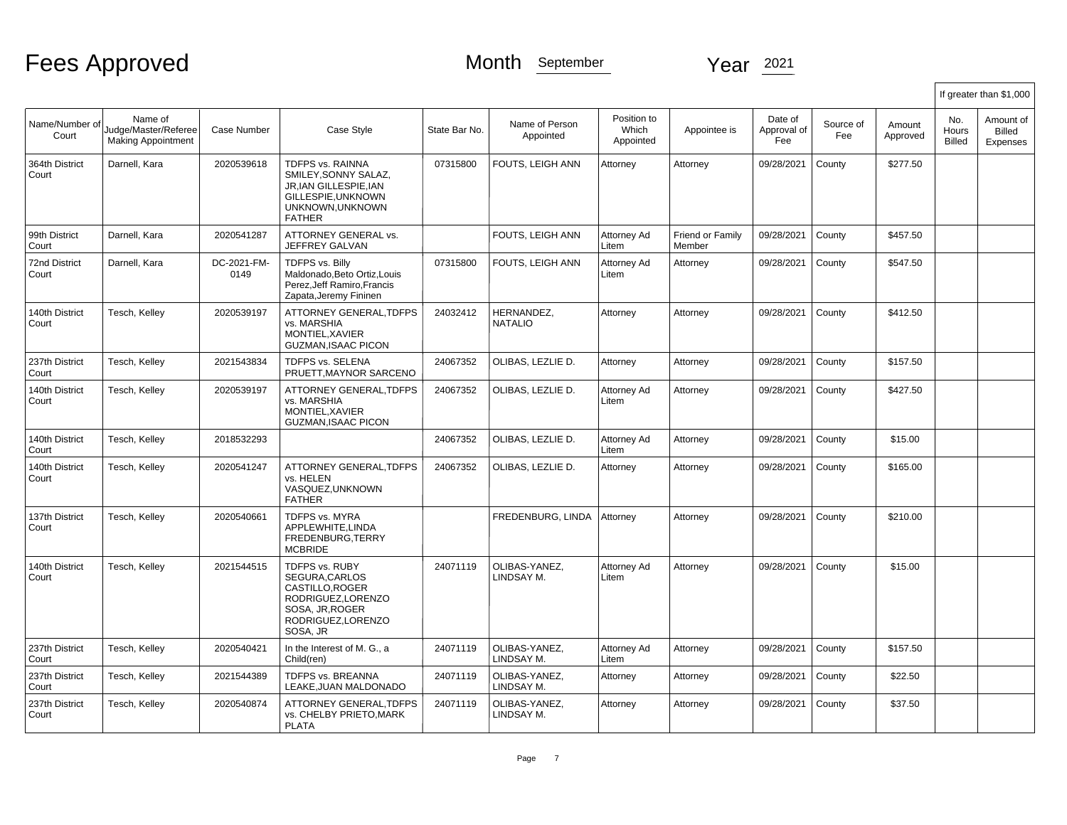|                               |                                                              |                     |                                                                                                                                    |               |                              |                                   |                            |                               |                  |                    |                        | If greater than \$1,000         |
|-------------------------------|--------------------------------------------------------------|---------------------|------------------------------------------------------------------------------------------------------------------------------------|---------------|------------------------------|-----------------------------------|----------------------------|-------------------------------|------------------|--------------------|------------------------|---------------------------------|
| Name/Number of<br>Court       | Name of<br>Judge/Master/Referee<br><b>Making Appointment</b> | Case Number         | Case Style                                                                                                                         | State Bar No. | Name of Person<br>Appointed  | Position to<br>Which<br>Appointed | Appointee is               | Date of<br>Approval of<br>Fee | Source of<br>Fee | Amount<br>Approved | No.<br>Hours<br>Billed | Amount of<br>Billed<br>Expenses |
| 364th District<br>Court       | Darnell, Kara                                                | 2020539618          | <b>TDFPS vs. RAINNA</b><br>SMILEY, SONNY SALAZ,<br>JR.IAN GILLESPIE.IAN<br>GILLESPIE, UNKNOWN<br>UNKNOWN, UNKNOWN<br><b>FATHER</b> | 07315800      | FOUTS, LEIGH ANN             | Attorney                          | Attorney                   | 09/28/2021                    | County           | \$277.50           |                        |                                 |
| 99th District<br>Court        | Darnell, Kara                                                | 2020541287          | ATTORNEY GENERAL vs.<br>JEFFREY GALVAN                                                                                             |               | FOUTS, LEIGH ANN             | Attorney Ad<br>Litem              | Friend or Family<br>Member | 09/28/2021                    | County           | \$457.50           |                        |                                 |
| <b>72nd District</b><br>Court | Darnell, Kara                                                | DC-2021-FM-<br>0149 | TDFPS vs. Billy<br>Maldonado, Beto Ortiz, Louis<br>Perez, Jeff Ramiro, Francis<br>Zapata, Jeremy Fininen                           | 07315800      | FOUTS, LEIGH ANN             | Attorney Ad<br>Litem              | Attorney                   | 09/28/2021                    | County           | \$547.50           |                        |                                 |
| 140th District<br>Court       | Tesch, Kelley                                                | 2020539197          | ATTORNEY GENERAL, TDFPS<br>vs. MARSHIA<br>MONTIEL, XAVIER<br><b>GUZMAN, ISAAC PICON</b>                                            | 24032412      | HERNANDEZ,<br><b>NATALIO</b> | Attorney                          | Attorney                   | 09/28/2021                    | County           | \$412.50           |                        |                                 |
| 237th District<br>Court       | Tesch, Kelley                                                | 2021543834          | TDFPS vs. SELENA<br>PRUETT, MAYNOR SARCENO                                                                                         | 24067352      | OLIBAS, LEZLIE D.            | Attorney                          | Attorney                   | 09/28/2021                    | County           | \$157.50           |                        |                                 |
| 140th District<br>Court       | Tesch, Kelley                                                | 2020539197          | ATTORNEY GENERAL, TDFPS<br>vs. MARSHIA<br>MONTIEL, XAVIER<br><b>GUZMAN, ISAAC PICON</b>                                            | 24067352      | OLIBAS, LEZLIE D.            | Attorney Ad<br>Litem              | Attorney                   | 09/28/2021                    | County           | \$427.50           |                        |                                 |
| 140th District<br>Court       | Tesch, Kelley                                                | 2018532293          |                                                                                                                                    | 24067352      | OLIBAS, LEZLIE D.            | Attorney Ad<br>Litem              | Attorney                   | 09/28/2021                    | County           | \$15.00            |                        |                                 |
| 140th District<br>Court       | Tesch, Kelley                                                | 2020541247          | ATTORNEY GENERAL, TDFPS<br>vs. HELEN<br>VASQUEZ, UNKNOWN<br><b>FATHER</b>                                                          | 24067352      | olibas, lezlie d.            | Attorney                          | Attorney                   | 09/28/2021                    | County           | \$165.00           |                        |                                 |
| 137th District<br>Court       | Tesch, Kelley                                                | 2020540661          | TDFPS vs. MYRA<br>APPLEWHITE, LINDA<br>FREDENBURG.TERRY<br><b>MCBRIDE</b>                                                          |               | FREDENBURG, LINDA            | Attorney                          | Attorney                   | 09/28/2021                    | County           | \$210.00           |                        |                                 |
| 140th District<br>Court       | Tesch, Kelley                                                | 2021544515          | TDFPS vs. RUBY<br>SEGURA, CARLOS<br>CASTILLO.ROGER<br>RODRIGUEZ, LORENZO<br>SOSA, JR, ROGER<br>RODRIGUEZ, LORENZO<br>SOSA, JR      | 24071119      | OLIBAS-YANEZ,<br>LINDSAY M.  | Attorney Ad<br>Litem              | Attorney                   | 09/28/2021                    | County           | \$15.00            |                        |                                 |
| 237th District<br>Court       | Tesch, Kelley                                                | 2020540421          | In the Interest of M. G., a<br>Child(ren)                                                                                          | 24071119      | OLIBAS-YANEZ.<br>LINDSAY M.  | Attorney Ad<br>Litem              | Attorney                   | 09/28/2021                    | County           | \$157.50           |                        |                                 |
| 237th District<br>Court       | Tesch, Kelley                                                | 2021544389          | TDFPS vs. BREANNA<br>LEAKE, JUAN MALDONADO                                                                                         | 24071119      | OLIBAS-YANEZ,<br>LINDSAY M.  | Attorney                          | Attorney                   | 09/28/2021                    | County           | \$22.50            |                        |                                 |
| 237th District<br>Court       | Tesch, Kelley                                                | 2020540874          | ATTORNEY GENERAL, TDFPS<br>vs. CHELBY PRIETO, MARK<br><b>PLATA</b>                                                                 | 24071119      | OLIBAS-YANEZ,<br>LINDSAY M.  | Attorney                          | Attorney                   | 09/28/2021                    | County           | \$37.50            |                        |                                 |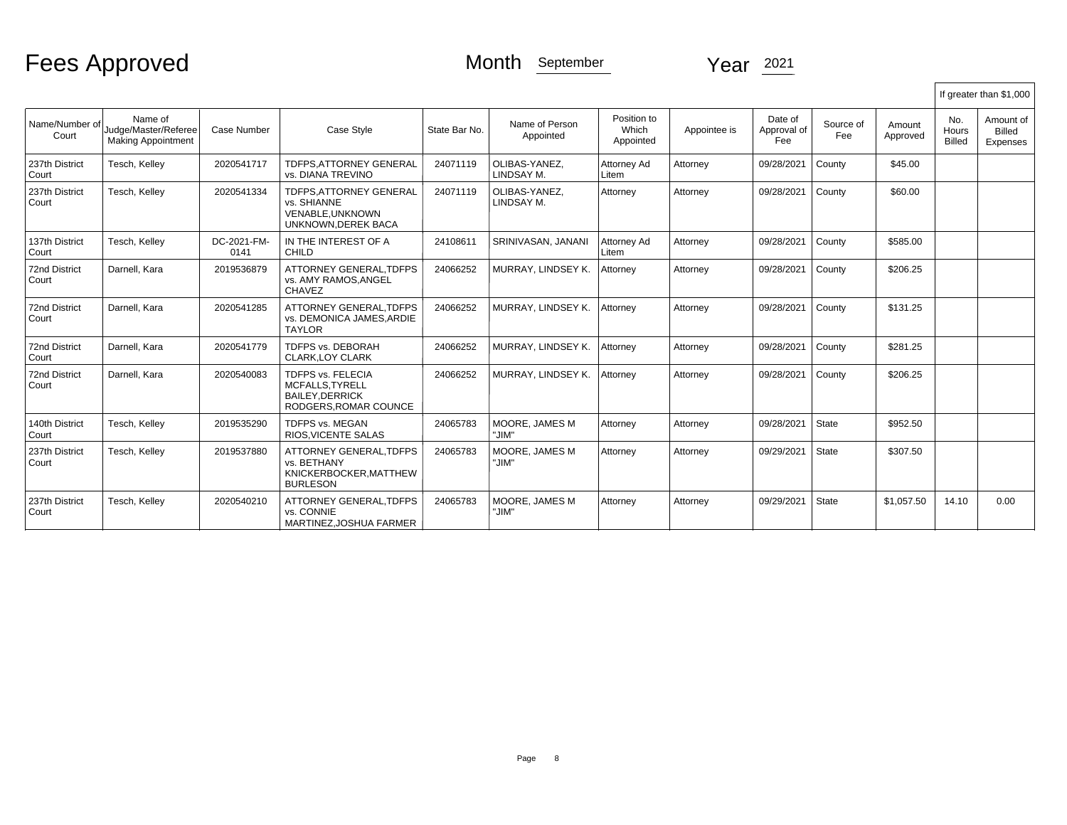|                               |                                                              |                     |                                                                                              |               |                             |                                   |              |                               |                  |                    |                               | If greater than \$1,000         |
|-------------------------------|--------------------------------------------------------------|---------------------|----------------------------------------------------------------------------------------------|---------------|-----------------------------|-----------------------------------|--------------|-------------------------------|------------------|--------------------|-------------------------------|---------------------------------|
| Name/Number of<br>Court       | Name of<br>Judge/Master/Referee<br><b>Making Appointment</b> | Case Number         | Case Style                                                                                   | State Bar No. | Name of Person<br>Appointed | Position to<br>Which<br>Appointed | Appointee is | Date of<br>Approval of<br>Fee | Source of<br>Fee | Amount<br>Approved | No.<br>Hours<br><b>Billed</b> | Amount of<br>Billed<br>Expenses |
| 237th District<br>Court       | Tesch, Kelley                                                | 2020541717          | <b>TDFPS.ATTORNEY GENERAL</b><br>vs. DIANA TREVINO                                           | 24071119      | OLIBAS-YANEZ.<br>LINDSAY M. | Attorney Ad<br>Litem              | Attorney     | 09/28/2021                    | County           | \$45.00            |                               |                                 |
| 237th District<br>Court       | Tesch, Kelley                                                | 2020541334          | TDFPS, ATTORNEY GENERAL<br>vs. SHIANNE<br>VENABLE.UNKNOWN<br>UNKNOWN.DEREK BACA              | 24071119      | OLIBAS-YANEZ.<br>LINDSAY M. | Attorney                          | Attorney     | 09/28/2021                    | County           | \$60.00            |                               |                                 |
| 137th District<br>Court       | Tesch, Kelley                                                | DC-2021-FM-<br>0141 | IN THE INTEREST OF A<br><b>CHILD</b>                                                         | 24108611      | SRINIVASAN, JANANI          | Attorney Ad<br>Litem              | Attorney     | 09/28/2021                    | County           | \$585.00           |                               |                                 |
| <b>72nd District</b><br>Court | Darnell, Kara                                                | 2019536879          | ATTORNEY GENERAL, TDFPS<br>vs. AMY RAMOS, ANGEL<br>CHAVEZ                                    | 24066252      | MURRAY, LINDSEY K.          | Attorney                          | Attorney     | 09/28/2021                    | County           | \$206.25           |                               |                                 |
| <b>72nd District</b><br>Court | Darnell, Kara                                                | 2020541285          | ATTORNEY GENERAL.TDFPS<br>vs. DEMONICA JAMES, ARDIE<br><b>TAYLOR</b>                         | 24066252      | MURRAY, LINDSEY K.          | Attorney                          | Attorney     | 09/28/2021                    | County           | \$131.25           |                               |                                 |
| <b>72nd District</b><br>Court | Darnell, Kara                                                | 2020541779          | TDFPS vs. DEBORAH<br><b>CLARK.LOY CLARK</b>                                                  | 24066252      | MURRAY, LINDSEY K.          | Attorney                          | Attorney     | 09/28/2021                    | County           | \$281.25           |                               |                                 |
| 72nd District<br>Court        | Darnell, Kara                                                | 2020540083          | <b>TDFPS vs. FELECIA</b><br>MCFALLS, TYRELL<br><b>BAILEY DERRICK</b><br>RODGERS.ROMAR COUNCE | 24066252      | MURRAY, LINDSEY K.          | Attorney                          | Attorney     | 09/28/2021                    | County           | \$206.25           |                               |                                 |
| 140th District<br>Court       | Tesch, Kelley                                                | 2019535290          | <b>TDFPS vs. MEGAN</b><br>RIOS, VICENTE SALAS                                                | 24065783      | MOORE. JAMES M<br>"JIM"     | Attorney                          | Attorney     | 09/28/2021                    | State            | \$952.50           |                               |                                 |
| 237th District<br>Court       | Tesch, Kellev                                                | 2019537880          | ATTORNEY GENERAL, TDFPS<br>vs. BETHANY<br>KNICKERBOCKER, MATTHEW<br><b>BURLESON</b>          | 24065783      | MOORE. JAMES M<br>"JIM"     | Attornev                          | Attorney     | 09/29/2021                    | State            | \$307.50           |                               |                                 |
| 237th District<br>Court       | Tesch, Kelley                                                | 2020540210          | ATTORNEY GENERAL.TDFPS<br>vs. CONNIE<br>MARTINEZ, JOSHUA FARMER                              | 24065783      | MOORE. JAMES M<br>"JIM"     | Attorney                          | Attorney     | 09/29/2021                    | State            | \$1,057.50         | 14.10                         | 0.00                            |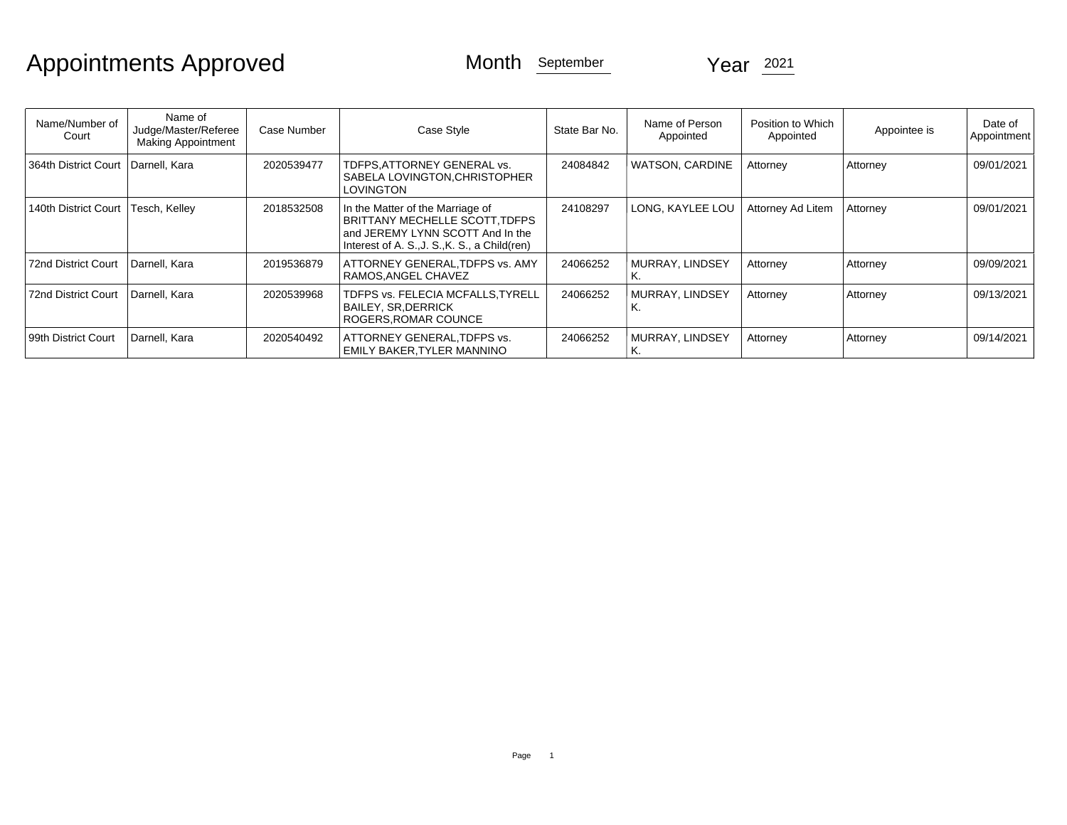# Appointments Approved Month September Year 2021

| Name/Number of<br>Court              | Name of<br>Judge/Master/Referee<br><b>Making Appointment</b> | Case Number | Case Style                                                                                                                                              | State Bar No. | Name of Person<br>Appointed | Position to Which<br>Appointed | Appointee is    | Date of<br>Appointment |
|--------------------------------------|--------------------------------------------------------------|-------------|---------------------------------------------------------------------------------------------------------------------------------------------------------|---------------|-----------------------------|--------------------------------|-----------------|------------------------|
| 364th District Court   Darnell, Kara |                                                              | 2020539477  | TDFPS, ATTORNEY GENERAL vs.<br>SABELA LOVINGTON, CHRISTOPHER<br><b>LOVINGTON</b>                                                                        | 24084842      | <b>WATSON, CARDINE</b>      | Attorney                       | Attorney        | 09/01/2021             |
| 140th District Court                 | Tesch, Kelley                                                | 2018532508  | In the Matter of the Marriage of<br>BRITTANY MECHELLE SCOTT, TDFPS<br>and JEREMY LYNN SCOTT And In the<br>Interest of A. S., J. S., K. S., a Child(ren) | 24108297      | LONG, KAYLEE LOU            | <b>Attorney Ad Litem</b>       | Attorney        | 09/01/2021             |
| <b>72nd District Court</b>           | Darnell, Kara                                                | 2019536879  | ATTORNEY GENERAL, TDFPS vs. AMY<br>RAMOS, ANGEL CHAVEZ                                                                                                  | 24066252      | MURRAY. LINDSEY             | Attorney                       | Attorney        | 09/09/2021             |
| <b>72nd District Court</b>           | Darnell, Kara                                                | 2020539968  | TDFPS vs. FELECIA MCFALLS, TYRELL<br><b>BAILEY, SR.DERRICK</b><br>ROGERS.ROMAR COUNCE                                                                   | 24066252      | MURRAY, LINDSEY<br>K.       | Attorney                       | Attorney        | 09/13/2021             |
| 99th District Court                  | Darnell, Kara                                                | 2020540492  | ATTORNEY GENERAL, TDFPS vs.<br>EMILY BAKER, TYLER MANNINO                                                                                               | 24066252      | MURRAY, LINDSEY<br>rv.      | Attorney                       | <b>Attorney</b> | 09/14/2021             |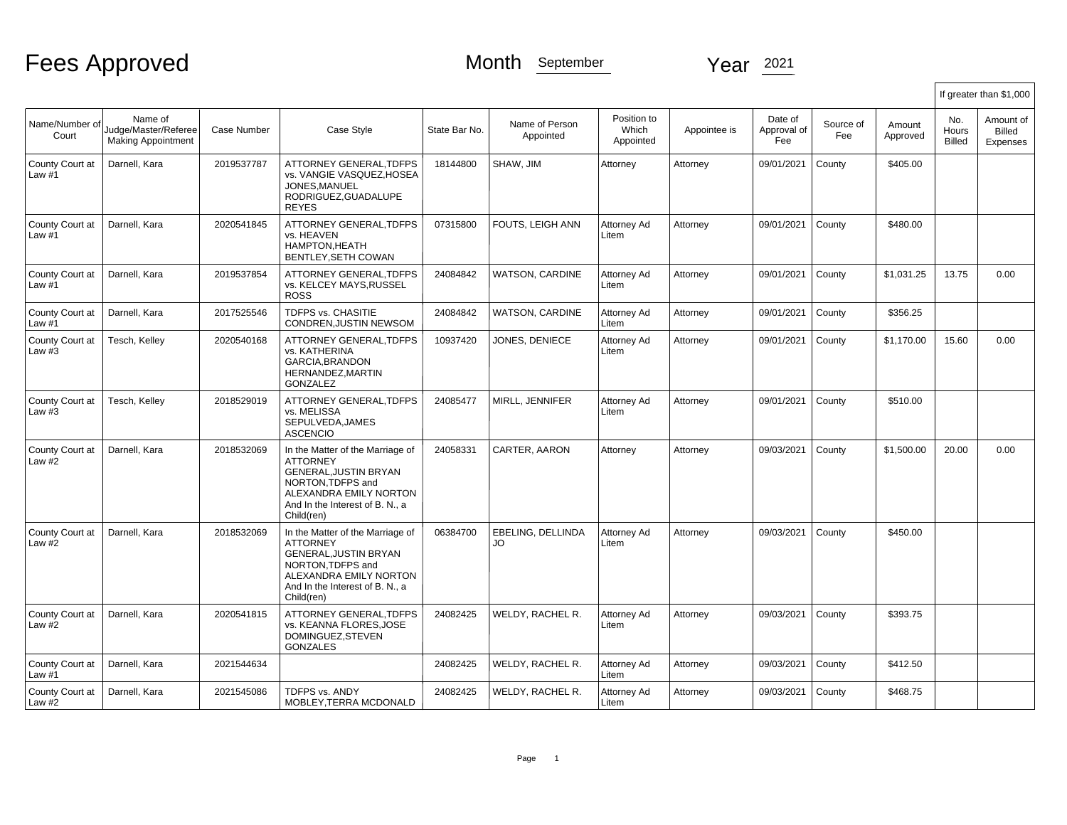|                           |                                                              |             |                                                                                                                                                                              |               |                             |                                   |              |                               |                  |                    |                               | If greater than \$1,000         |
|---------------------------|--------------------------------------------------------------|-------------|------------------------------------------------------------------------------------------------------------------------------------------------------------------------------|---------------|-----------------------------|-----------------------------------|--------------|-------------------------------|------------------|--------------------|-------------------------------|---------------------------------|
| Name/Number of<br>Court   | Name of<br>Judge/Master/Referee<br><b>Making Appointment</b> | Case Number | Case Style                                                                                                                                                                   | State Bar No. | Name of Person<br>Appointed | Position to<br>Which<br>Appointed | Appointee is | Date of<br>Approval of<br>Fee | Source of<br>Fee | Amount<br>Approved | No.<br>Hours<br><b>Billed</b> | Amount of<br>Billed<br>Expenses |
| County Court at<br>Law #1 | Darnell, Kara                                                | 2019537787  | ATTORNEY GENERAL, TDFPS<br>vs. VANGIE VASQUEZ.HOSEA<br>JONES.MANUEL<br>RODRIGUEZ, GUADALUPE<br><b>REYES</b>                                                                  | 18144800      | SHAW, JIM                   | Attorney                          | Attorney     | 09/01/2021                    | County           | \$405.00           |                               |                                 |
| County Court at<br>Law #1 | Darnell, Kara                                                | 2020541845  | ATTORNEY GENERAL.TDFPS<br>vs. HEAVEN<br>HAMPTON, HEATH<br>BENTLEY.SETH COWAN                                                                                                 | 07315800      | FOUTS. LEIGH ANN            | Attorney Ad<br>Litem              | Attorney     | 09/01/2021                    | County           | \$480.00           |                               |                                 |
| County Court at<br>Law #1 | Darnell, Kara                                                | 2019537854  | ATTORNEY GENERAL, TDFPS<br>vs. KELCEY MAYS, RUSSEL<br><b>ROSS</b>                                                                                                            | 24084842      | <b>WATSON, CARDINE</b>      | Attorney Ad<br>Litem              | Attorney     | 09/01/2021                    | County           | \$1,031.25         | 13.75                         | 0.00                            |
| County Court at<br>Law #1 | Darnell, Kara                                                | 2017525546  | TDFPS vs. CHASITIE<br>CONDREN, JUSTIN NEWSOM                                                                                                                                 | 24084842      | <b>WATSON, CARDINE</b>      | Attorney Ad<br>Litem              | Attorney     | 09/01/2021                    | County           | \$356.25           |                               |                                 |
| County Court at<br>Law #3 | Tesch, Kelley                                                | 2020540168  | ATTORNEY GENERAL, TDFPS<br>vs. KATHERINA<br><b>GARCIA.BRANDON</b><br>HERNANDEZ, MARTIN<br><b>GONZALEZ</b>                                                                    | 10937420      | JONES, DENIECE              | Attorney Ad<br>Litem              | Attorney     | 09/01/2021                    | County           | \$1,170.00         | 15.60                         | 0.00                            |
| County Court at<br>Law #3 | Tesch, Kelley                                                | 2018529019  | ATTORNEY GENERAL.TDFPS<br>vs. MELISSA<br>SEPULVEDA, JAMES<br><b>ASCENCIO</b>                                                                                                 | 24085477      | MIRLL, JENNIFER             | Attorney Ad<br>Litem              | Attorney     | 09/01/2021                    | County           | \$510.00           |                               |                                 |
| County Court at<br>Law #2 | Darnell, Kara                                                | 2018532069  | In the Matter of the Marriage of<br><b>ATTORNEY</b><br>GENERAL, JUSTIN BRYAN<br>NORTON.TDFPS and<br>ALEXANDRA EMILY NORTON<br>And In the Interest of B. N., a<br>Child(ren)  | 24058331      | CARTER, AARON               | Attorney                          | Attorney     | 09/03/2021                    | County           | \$1,500.00         | 20.00                         | 0.00                            |
| County Court at<br>Law #2 | Darnell, Kara                                                | 2018532069  | In the Matter of the Marriage of<br><b>ATTORNEY</b><br>GENERAL, JUSTIN BRYAN<br>NORTON, TDFPS and<br>ALEXANDRA EMILY NORTON<br>And In the Interest of B. N., a<br>Child(ren) | 06384700      | EBELING, DELLINDA<br>JO.    | Attorney Ad<br>Litem              | Attorney     | 09/03/2021                    | County           | \$450.00           |                               |                                 |
| County Court at<br>Law #2 | Darnell, Kara                                                | 2020541815  | ATTORNEY GENERAL, TDFPS<br>vs. KEANNA FLORES.JOSE<br>DOMINGUEZ, STEVEN<br><b>GONZALES</b>                                                                                    | 24082425      | WELDY, RACHEL R.            | Attorney Ad<br>Litem              | Attorney     | 09/03/2021                    | County           | \$393.75           |                               |                                 |
| County Court at<br>Law #1 | Darnell, Kara                                                | 2021544634  |                                                                                                                                                                              | 24082425      | WELDY, RACHEL R.            | Attorney Ad<br>Litem              | Attorney     | 09/03/2021                    | County           | \$412.50           |                               |                                 |
| County Court at<br>Law #2 | Darnell, Kara                                                | 2021545086  | <b>TDFPS vs. ANDY</b><br>MOBLEY, TERRA MCDONALD                                                                                                                              | 24082425      | WELDY, RACHEL R.            | Attorney Ad<br>Litem              | Attorney     | 09/03/2021                    | County           | \$468.75           |                               |                                 |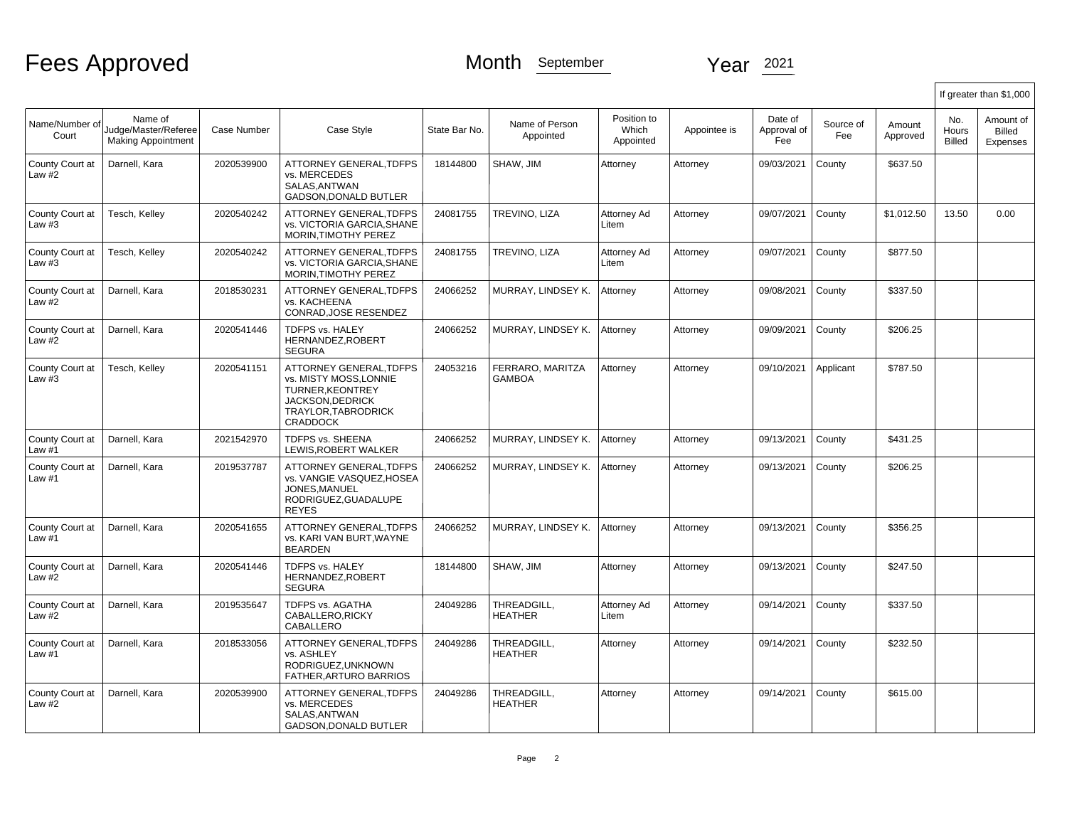|                             |                                                              |             |                                                                                                                                           |               |                                   |                                   |              |                               |                  |                    |                               | If greater than \$1,000                |
|-----------------------------|--------------------------------------------------------------|-------------|-------------------------------------------------------------------------------------------------------------------------------------------|---------------|-----------------------------------|-----------------------------------|--------------|-------------------------------|------------------|--------------------|-------------------------------|----------------------------------------|
| Name/Number of<br>Court     | Name of<br>Judge/Master/Referee<br><b>Making Appointment</b> | Case Number | Case Style                                                                                                                                | State Bar No. | Name of Person<br>Appointed       | Position to<br>Which<br>Appointed | Appointee is | Date of<br>Approval of<br>Fee | Source of<br>Fee | Amount<br>Approved | No.<br>Hours<br><b>Billed</b> | Amount of<br><b>Billed</b><br>Expenses |
| County Court at<br>Law $#2$ | Darnell, Kara                                                | 2020539900  | <b>ATTORNEY GENERAL.TDFPS</b><br>vs. MERCEDES<br>SALAS.ANTWAN<br><b>GADSON.DONALD BUTLER</b>                                              | 18144800      | SHAW, JIM                         | Attorney                          | Attorney     | 09/03/2021                    | County           | \$637.50           |                               |                                        |
| County Court at<br>Law #3   | Tesch, Kelley                                                | 2020540242  | ATTORNEY GENERAL, TDFPS<br>vs. VICTORIA GARCIA, SHANE<br>MORIN, TIMOTHY PEREZ                                                             | 24081755      | TREVINO, LIZA                     | Attorney Ad<br>Litem              | Attorney     | 09/07/2021                    | County           | \$1,012.50         | 13.50                         | 0.00                                   |
| County Court at<br>Law $#3$ | Tesch, Kelley                                                | 2020540242  | ATTORNEY GENERAL, TDFPS<br>vs. VICTORIA GARCIA, SHANE<br>MORIN, TIMOTHY PEREZ                                                             | 24081755      | TREVINO, LIZA                     | Attorney Ad<br>Litem              | Attorney     | 09/07/2021                    | County           | \$877.50           |                               |                                        |
| County Court at<br>Law #2   | Darnell, Kara                                                | 2018530231  | ATTORNEY GENERAL, TDFPS<br>vs. KACHEENA<br>CONRAD, JOSE RESENDEZ                                                                          | 24066252      | MURRAY, LINDSEY K.                | Attorney                          | Attorney     | 09/08/2021                    | County           | \$337.50           |                               |                                        |
| County Court at<br>Law #2   | Darnell, Kara                                                | 2020541446  | TDFPS vs. HALEY<br>HERNANDEZ, ROBERT<br><b>SEGURA</b>                                                                                     | 24066252      | MURRAY, LINDSEY K.                | Attorney                          | Attorney     | 09/09/2021                    | County           | \$206.25           |                               |                                        |
| County Court at<br>Law #3   | Tesch, Kelley                                                | 2020541151  | ATTORNEY GENERAL, TDFPS<br>vs. MISTY MOSS, LONNIE<br><b>TURNER, KEONTREY</b><br>JACKSON, DEDRICK<br>TRAYLOR.TABRODRICK<br><b>CRADDOCK</b> | 24053216      | FERRARO, MARITZA<br><b>GAMBOA</b> | Attorney                          | Attorney     | 09/10/2021                    | Applicant        | \$787.50           |                               |                                        |
| County Court at<br>Law #1   | Darnell, Kara                                                | 2021542970  | <b>TDFPS vs. SHEENA</b><br>LEWIS.ROBERT WALKER                                                                                            | 24066252      | MURRAY, LINDSEY K.                | Attorney                          | Attorney     | 09/13/2021                    | County           | \$431.25           |                               |                                        |
| County Court at<br>Law #1   | Darnell, Kara                                                | 2019537787  | ATTORNEY GENERAL, TDFPS<br>vs. VANGIE VASQUEZ, HOSEA<br>JONES.MANUEL<br>RODRIGUEZ, GUADALUPE<br><b>REYES</b>                              | 24066252      | MURRAY, LINDSEY K.                | Attorney                          | Attorney     | 09/13/2021                    | County           | \$206.25           |                               |                                        |
| County Court at<br>Law #1   | Darnell, Kara                                                | 2020541655  | <b>ATTORNEY GENERAL.TDFPS</b><br>vs. KARI VAN BURT.WAYNE<br><b>BEARDEN</b>                                                                | 24066252      | MURRAY, LINDSEY K.                | Attorney                          | Attorney     | 09/13/2021                    | County           | \$356.25           |                               |                                        |
| County Court at<br>Law $#2$ | Darnell, Kara                                                | 2020541446  | <b>TDFPS vs. HALEY</b><br>HERNANDEZ, ROBERT<br><b>SEGURA</b>                                                                              | 18144800      | SHAW, JIM                         | Attorney                          | Attorney     | 09/13/2021                    | County           | \$247.50           |                               |                                        |
| County Court at<br>Law $#2$ | Darnell, Kara                                                | 2019535647  | <b>TDFPS vs. AGATHA</b><br>CABALLERO, RICKY<br>CABALLERO                                                                                  | 24049286      | THREADGILL.<br><b>HEATHER</b>     | Attorney Ad<br>Litem              | Attorney     | 09/14/2021                    | County           | \$337.50           |                               |                                        |
| County Court at<br>Law #1   | Darnell, Kara                                                | 2018533056  | <b>ATTORNEY GENERAL.TDFPS</b><br>vs. ASHLEY<br>RODRIGUEZ, UNKNOWN<br>FATHER, ARTURO BARRIOS                                               | 24049286      | THREADGILL,<br><b>HEATHER</b>     | Attorney                          | Attorney     | 09/14/2021                    | County           | \$232.50           |                               |                                        |
| County Court at<br>Law $#2$ | Darnell, Kara                                                | 2020539900  | ATTORNEY GENERAL, TDFPS<br>vs. MERCEDES<br>SALAS, ANTWAN<br><b>GADSON, DONALD BUTLER</b>                                                  | 24049286      | THREADGILL,<br><b>HEATHER</b>     | Attorney                          | Attorney     | 09/14/2021                    | County           | \$615.00           |                               |                                        |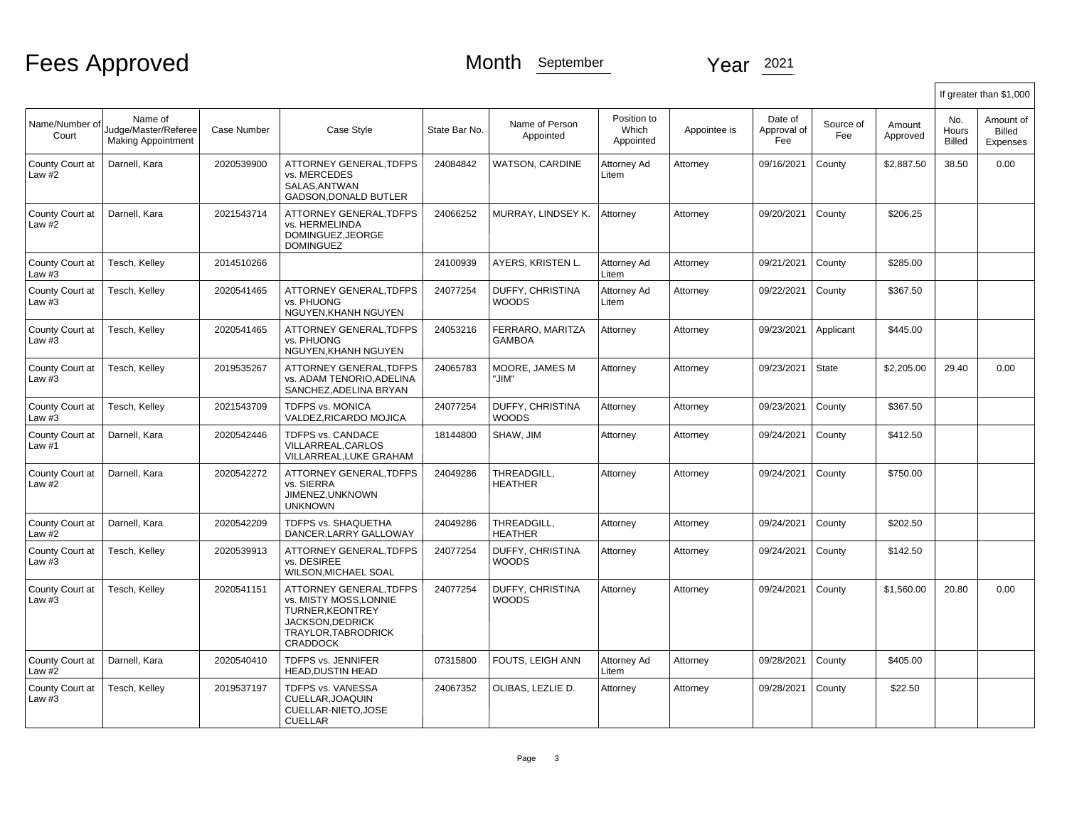|                             |                                                              |             |                                                                                                                                                |               |                                         |                                   |              |                               |                  |                    |                               | If greater than \$1,000                |
|-----------------------------|--------------------------------------------------------------|-------------|------------------------------------------------------------------------------------------------------------------------------------------------|---------------|-----------------------------------------|-----------------------------------|--------------|-------------------------------|------------------|--------------------|-------------------------------|----------------------------------------|
| Name/Number of<br>Court     | Name of<br>Judge/Master/Referee<br><b>Making Appointment</b> | Case Number | Case Style                                                                                                                                     | State Bar No. | Name of Person<br>Appointed             | Position to<br>Which<br>Appointed | Appointee is | Date of<br>Approval of<br>Fee | Source of<br>Fee | Amount<br>Approved | No.<br>Hours<br><b>Billed</b> | Amount of<br><b>Billed</b><br>Expenses |
| County Court at<br>Law #2   | Darnell, Kara                                                | 2020539900  | <b>ATTORNEY GENERAL.TDFPS</b><br>vs. MERCEDES<br>SALAS.ANTWAN<br>GADSON, DONALD BUTLER                                                         | 24084842      | <b>WATSON, CARDINE</b>                  | Attorney Ad<br>Litem              | Attorney     | 09/16/2021                    | County           | \$2,887.50         | 38.50                         | 0.00                                   |
| County Court at<br>Law #2   | Darnell, Kara                                                | 2021543714  | <b>ATTORNEY GENERAL.TDFPS</b><br>vs. HERMELINDA<br>DOMINGUEZ.JEORGE<br><b>DOMINGUEZ</b>                                                        | 24066252      | MURRAY, LINDSEY K.                      | Attorney                          | Attorney     | 09/20/2021                    | County           | \$206.25           |                               |                                        |
| County Court at<br>Law #3   | Tesch, Kelley                                                | 2014510266  |                                                                                                                                                | 24100939      | AYERS. KRISTEN L.                       | Attornev Ad<br>Litem              | Attorney     | 09/21/2021                    | County           | \$285.00           |                               |                                        |
| County Court at<br>Law #3   | Tesch, Kelley                                                | 2020541465  | ATTORNEY GENERAL, TDFPS<br>vs. PHUONG<br>NGUYEN.KHANH NGUYEN                                                                                   | 24077254      | DUFFY, CHRISTINA<br>WOODS               | Attorney Ad<br>Litem              | Attorney     | 09/22/2021                    | County           | \$367.50           |                               |                                        |
| County Court at<br>Law #3   | Tesch, Kelley                                                | 2020541465  | <b>ATTORNEY GENERAL.TDFPS</b><br>vs. PHUONG<br>NGUYEN, KHANH NGUYEN                                                                            | 24053216      | FERRARO, MARITZA<br>GAMBOA              | Attorney                          | Attorney     | 09/23/2021                    | Applicant        | \$445.00           |                               |                                        |
| County Court at<br>Law $#3$ | Tesch, Kelley                                                | 2019535267  | ATTORNEY GENERAL.TDFPS<br>vs. ADAM TENORIO.ADELINA<br>SANCHEZ.ADELINA BRYAN                                                                    | 24065783      | MOORE, JAMES M<br>"JIM"                 | Attorney                          | Attorney     | 09/23/2021                    | State            | \$2,205.00         | 29.40                         | 0.00                                   |
| County Court at<br>Law $#3$ | Tesch, Kellev                                                | 2021543709  | <b>TDFPS vs. MONICA</b><br>VALDEZ, RICARDO MOJICA                                                                                              | 24077254      | <b>DUFFY, CHRISTINA</b><br><b>WOODS</b> | Attornev                          | Attorney     | 09/23/2021                    | County           | \$367.50           |                               |                                        |
| County Court at<br>Law #1   | Darnell, Kara                                                | 2020542446  | TDFPS vs. CANDACE<br>VILLARREAL.CARLOS<br>VILLARREAL.LUKE GRAHAM                                                                               | 18144800      | SHAW, JIM                               | Attorney                          | Attorney     | 09/24/2021                    | County           | \$412.50           |                               |                                        |
| County Court at<br>Law #2   | Darnell, Kara                                                | 2020542272  | <b>ATTORNEY GENERAL.TDFPS</b><br>vs. SIERRA<br>JIMENEZ.UNKNOWN<br><b>UNKNOWN</b>                                                               | 24049286      | THREADGILL.<br><b>HEATHER</b>           | Attorney                          | Attorney     | 09/24/2021                    | County           | \$750.00           |                               |                                        |
| County Court at<br>Law #2   | Darnell, Kara                                                | 2020542209  | <b>TDFPS vs. SHAQUETHA</b><br>DANCER, LARRY GALLOWAY                                                                                           | 24049286      | THREADGILL.<br><b>HEATHER</b>           | Attorney                          | Attorney     | 09/24/2021                    | County           | \$202.50           |                               |                                        |
| County Court at<br>Law $#3$ | Tesch, Kelley                                                | 2020539913  | ATTORNEY GENERAL, TDFPS<br>vs. DESIREE<br><b>WILSON.MICHAEL SOAL</b>                                                                           | 24077254      | DUFFY, CHRISTINA<br><b>WOODS</b>        | Attorney                          | Attorney     | 09/24/2021                    | County           | \$142.50           |                               |                                        |
| County Court at<br>Law #3   | Tesch, Kelley                                                | 2020541151  | <b>ATTORNEY GENERAL.TDFPS</b><br>vs. MISTY MOSS.LONNIE<br><b>TURNER, KEONTREY</b><br>JACKSON, DEDRICK<br>TRAYLOR.TABRODRICK<br><b>CRADDOCK</b> | 24077254      | <b>DUFFY, CHRISTINA</b><br><b>WOODS</b> | Attorney                          | Attorney     | 09/24/2021                    | County           | \$1,560.00         | 20.80                         | 0.00                                   |
| County Court at<br>Law #2   | Darnell, Kara                                                | 2020540410  | TDFPS vs. JENNIFER<br><b>HEAD.DUSTIN HEAD</b>                                                                                                  | 07315800      | FOUTS, LEIGH ANN                        | Attorney Ad<br>Litem              | Attorney     | 09/28/2021                    | County           | \$405.00           |                               |                                        |
| County Court at<br>Law $#3$ | Tesch, Kelley                                                | 2019537197  | <b>TDFPS vs. VANESSA</b><br>CUELLAR, JOAQUIN<br>CUELLAR-NIETO, JOSE<br><b>CUELLAR</b>                                                          | 24067352      | OLIBAS, LEZLIE D.                       | Attornev                          | Attorney     | 09/28/2021                    | County           | \$22.50            |                               |                                        |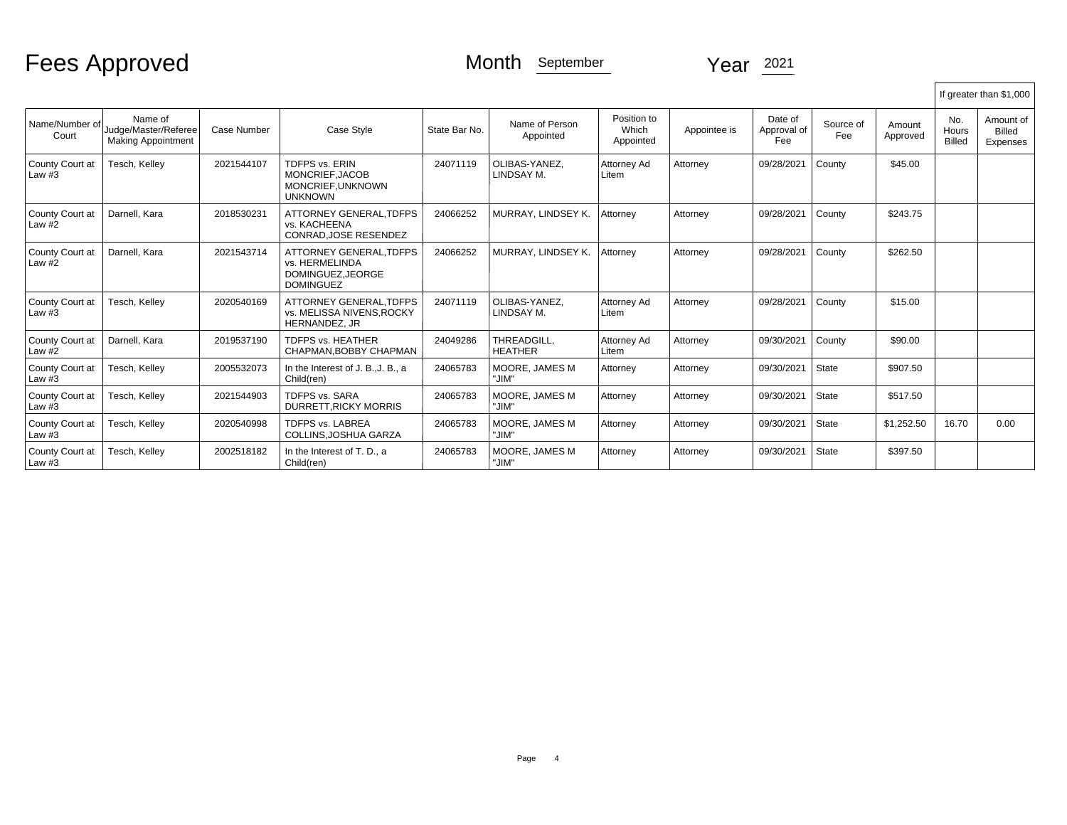|                             |                                                              |                    |                                                                                  |               |                               |                                   |              |                               |                  |                    |                               | If greater than \$1,000         |
|-----------------------------|--------------------------------------------------------------|--------------------|----------------------------------------------------------------------------------|---------------|-------------------------------|-----------------------------------|--------------|-------------------------------|------------------|--------------------|-------------------------------|---------------------------------|
| Name/Number of<br>Court     | Name of<br>Judge/Master/Referee<br><b>Making Appointment</b> | <b>Case Number</b> | Case Style                                                                       | State Bar No. | Name of Person<br>Appointed   | Position to<br>Which<br>Appointed | Appointee is | Date of<br>Approval of<br>Fee | Source of<br>Fee | Amount<br>Approved | No.<br>Hours<br><b>Billed</b> | Amount of<br>Billed<br>Expenses |
| County Court at<br>Law $#3$ | Tesch, Kelley                                                | 2021544107         | <b>TDFPS vs. ERIN</b><br>MONCRIEF, JACOB<br>MONCRIEF, UNKNOWN<br><b>UNKNOWN</b>  | 24071119      | OLIBAS-YANEZ.<br>LINDSAY M.   | Attorney Ad<br>Litem              | Attorney     | 09/28/2021                    | County           | \$45.00            |                               |                                 |
| County Court at<br>Law $#2$ | Darnell, Kara                                                | 2018530231         | <b>ATTORNEY GENERAL.TDFPS</b><br>vs. KACHEENA<br>CONRAD.JOSE RESENDEZ            | 24066252      | MURRAY, LINDSEY K.            | Attornev                          | Attorney     | 09/28/2021                    | County           | \$243.75           |                               |                                 |
| County Court at<br>Law $#2$ | Darnell, Kara                                                | 2021543714         | ATTORNEY GENERAL.TDFPS<br>vs. HERMELINDA<br>DOMINGUEZ.JEORGE<br><b>DOMINGUEZ</b> | 24066252      | MURRAY, LINDSEY K.            | Attorney                          | Attorney     | 09/28/2021                    | County           | \$262.50           |                               |                                 |
| County Court at<br>Law $#3$ | Tesch, Kelley                                                | 2020540169         | ATTORNEY GENERAL.TDFPS<br>vs. MELISSA NIVENS.ROCKY<br>HERNANDEZ, JR              | 24071119      | OLIBAS-YANEZ.<br>LINDSAY M.   | Attorney Ad<br>Litem              | Attorney     | 09/28/2021                    | County           | \$15.00            |                               |                                 |
| County Court at<br>Law $#2$ | Darnell, Kara                                                | 2019537190         | <b>TDFPS vs. HEATHER</b><br>CHAPMAN.BOBBY CHAPMAN                                | 24049286      | THREADGILL.<br><b>HEATHER</b> | Attorney Ad<br>Litem              | Attorney     | 09/30/2021                    | County           | \$90.00            |                               |                                 |
| County Court at<br>Law $#3$ | Tesch, Kelley                                                | 2005532073         | In the Interest of J. B., J. B., a<br>Child(ren)                                 | 24065783      | MOORE, JAMES M<br>"JIM"       | Attorney                          | Attorney     | 09/30/2021                    | State            | \$907.50           |                               |                                 |
| County Court at<br>Law $#3$ | Tesch, Kellev                                                | 2021544903         | <b>TDFPS vs. SARA</b><br><b>DURRETT.RICKY MORRIS</b>                             | 24065783      | MOORE, JAMES M<br>"JIM"       | Attorney                          | Attorney     | 09/30/2021                    | State            | \$517.50           |                               |                                 |
| County Court at<br>Law $#3$ | Tesch, Kelley                                                | 2020540998         | <b>TDFPS vs. LABREA</b><br>COLLINS.JOSHUA GARZA                                  | 24065783      | MOORE, JAMES M<br>"JIM"       | Attorney                          | Attorney     | 09/30/2021                    | State            | \$1,252.50         | 16.70                         | 0.00                            |
| County Court at<br>Law #3   | Tesch, Kelley                                                | 2002518182         | In the Interest of T. D., a<br>Child(ren)                                        | 24065783      | MOORE, JAMES M<br>"JIM"       | Attorney                          | Attorney     | 09/30/2021                    | State            | \$397.50           |                               |                                 |